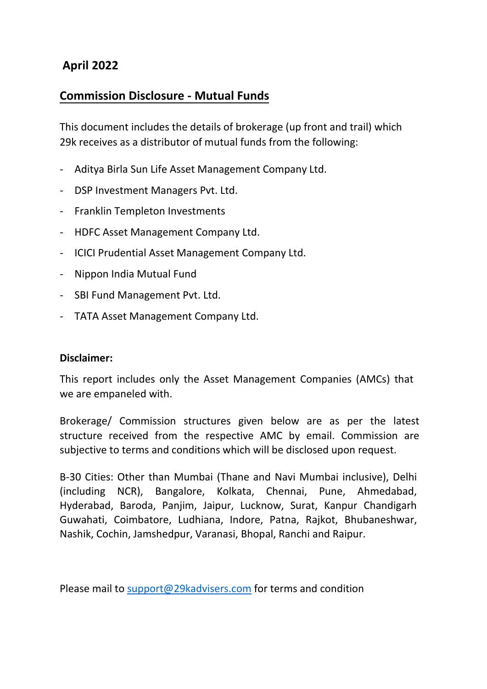# **April 2022**

# **Commission Disclosure - Mutual Funds**

This document includes the details of brokerage (up front and trail) which 29k receives as a distributor of mutual funds from the following:

- Aditya Birla Sun Life Asset Management Company Ltd.
- DSP Investment Managers Pvt. Ltd.
- Franklin Templeton Investments
- HDFC Asset Management Company Ltd.
- ICICI Prudential Asset Management Company Ltd.
- Nippon India Mutual Fund
- SBI Fund Management Pvt. Ltd.
- TATA Asset Management Company Ltd.

# **Disclaimer:**

This report includes only the Asset Management Companies (AMCs) that we are empaneled with.

Brokerage/ Commission structures given below are as per the latest structure received from the respective AMC by email. Commission are subjective to terms and conditions which will be disclosed upon request.

B-30 Cities: Other than Mumbai (Thane and Navi Mumbai inclusive), Delhi (including NCR), Bangalore, Kolkata, Chennai, Pune, Ahmedabad, Hyderabad, Baroda, Panjim, Jaipur, Lucknow, Surat, Kanpur Chandigarh Guwahati, Coimbatore, Ludhiana, Indore, Patna, Rajkot, Bhubaneshwar, Nashik, Cochin, Jamshedpur, Varanasi, Bhopal, Ranchi and Raipur.

Please mail to support@29kadvisers.com for terms and condition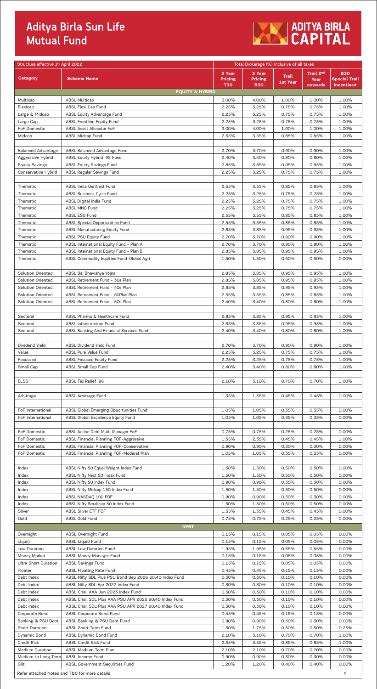# Aditya Birla Sun Life<br>Mutual Fund



| Structure effective 1 <sup>st</sup> April 2022      |                                                                     |                              | Total Brokerage (%) inclusive of all taxes |                |                       |                                    |
|-----------------------------------------------------|---------------------------------------------------------------------|------------------------------|--------------------------------------------|----------------|-----------------------|------------------------------------|
|                                                     |                                                                     | 3 Year                       | 3 Year                                     | <b>Trail</b>   | Trail 2 <sup>nd</sup> | <b>B30</b>                         |
| <b>Category</b>                                     | <b>Scheme Name</b>                                                  | <b>Pricing</b><br><b>T30</b> | <b>Pricing</b><br><b>B30</b>               | 1st Year       | Year<br>onwards       | <b>Special Trail</b><br>Incentive# |
|                                                     | <b>EQUITY &amp; HYBRID</b>                                          |                              |                                            |                |                       |                                    |
| Multicap                                            | <b>ABSL Multicap</b>                                                | 3.00%                        | 4.00%                                      | 1.00%          | 1.00%                 | 1.00%                              |
| Flexicap                                            | ABSL Flexi Cap Fund                                                 | 2.25%                        | 3.25%                                      | 0.75%          | 0.75%                 | 1.00%                              |
| Large & Midcap                                      | <b>ABSL Equity Advantage Fund</b>                                   | 2.25%                        | 3.25%                                      | 0.75%          | 0.75%                 | 1.00%                              |
| Large Cap                                           | <b>ABSL Frontline Equity Fund</b>                                   | 2.25%                        | 3.25%                                      | 0.75%          | 0.75%                 | 1.00%                              |
| FoF Domestic                                        | ABSL Asset Allocator FoF                                            | 3.00%                        | 4.00%                                      | 1.00%          | 1.00%                 | 1.00%                              |
| Midcap                                              | <b>ABSL Midcap Fund</b>                                             | 2.55%                        | 3.55%                                      | 0.85%          | 0.85%                 | 1.00%                              |
|                                                     |                                                                     |                              |                                            |                |                       |                                    |
| <b>Balanced Advantage</b>                           | ABSL Balanced Advantage Fund                                        | 2.70%                        | 3.70%                                      | 0.90%          | 0.90%                 | 1.00%                              |
| Aggressive Hybrid                                   | ABSL Equity Hybrid '95 Fund                                         | 2.40%<br>2.85%               | 3.40%<br>3.85%                             | 0.80%<br>0.95% | 0.80%<br>0.95%        | 1.00%<br>1.00%                     |
| <b>Equity Savings</b><br><b>Conservative Hybrid</b> | <b>ABSL Equity Savings Fund</b><br><b>ABSL Regular Savings Fund</b> | 2.25%                        | 3.25%                                      | 0.75%          | 0.75%                 | 1.00%                              |
|                                                     |                                                                     |                              |                                            |                |                       |                                    |
| Thematic                                            | ABSL India GenNext Fund                                             | 2.55%                        | 3.55%                                      | 0.85%          | 0.85%                 | 1.00%                              |
| Thematic                                            | ABSL Business Cycle Fund                                            | 2.25%                        | 3.25%                                      | 0.75%          | 0.75%                 | 1.00%                              |
| Thematic                                            | <b>ABSL Digital India Fund</b>                                      | 2.25%                        | 3.25%                                      | 0.75%          | 0.75%                 | 1.00%                              |
| Thematic                                            | ABSL MNC Fund                                                       | 2.25%                        | 3.25%                                      | 0.75%          | 0.75%                 | 1.00%                              |
| Thematic                                            | ABSL ESG Fund                                                       | 2.55%                        | 3.55%                                      | 0.85%          | 0.85%                 | 1.00%                              |
| Thematic                                            | ABSL Special Opportunities Fund                                     | 2.55%                        | 3.55%                                      | 0.85%          | 0.85%                 | 1.00%                              |
| Thematic                                            | <b>ABSL Manufacturing Equity Fund</b>                               | 2.85%                        | 3.85%                                      | 0.95%          | 0.95%                 | 1.00%                              |
| Thematic                                            | <b>ABSL PSU Equity Fund</b>                                         | 2.70%                        | 3.70%                                      | 0.90%          | 0.90%                 | 1.00%                              |
| Thematic                                            | ABSL International Equity Fund - Plan A                             | 2.70%                        | 3.70%                                      | 0.90%          | 0.90%                 | 1.00%                              |
| Thematic                                            | ABSL International Equity Fund - Plan B                             | 2.85%                        | 3.85%                                      | 0.95%          | 0.95%                 | 1.00%                              |
| Thematic                                            | ABSL Commodity Equities Fund-Global Agri                            | 1.50%                        | 1.50%                                      | 0.50%          | 0.50%                 | 0.00%                              |
| <b>Solution Oriented</b>                            | ABSL Bal Bhavishya Yojna                                            | 2.85%                        | 3.85%                                      | 0.95%          | 0.95%                 | 1.00%                              |
| <b>Solution Oriented</b>                            | ABSL Retirement Fund - 30s Plan                                     | 2.85%                        | 3.85%                                      | 0.95%          | 0.95%                 | 1.00%                              |
| <b>Solution Oriented</b>                            | ABSL Retirement Fund - 40s Plan                                     | 2.85%                        | 3.85%                                      | 0.95%          | 0.95%                 | 1.00%                              |
| <b>Solution Oriented</b>                            | ABSL Retirement Fund - 50Plus Plan                                  | 2.55%                        | 3.55%                                      | 0.85%          | 0.85%                 | 1.00%                              |
| <b>Solution Oriented</b>                            | ABSL Retirement Fund - 50s Plan                                     | 2.40%                        | 3.40%                                      | 0.80%          | 0.80%                 | 1.00%                              |
|                                                     |                                                                     |                              |                                            |                |                       |                                    |
| Sectoral                                            | ABSL Pharma & Healthcare Fund                                       | 2.85%                        | 3.85%                                      | 0.95%          | 0.95%                 | 1.00%                              |
| Sectoral                                            | ABSL Infrastructure Fund                                            | 2.85%                        | 3.85%                                      | 0.95%          | 0.95%                 | 1.00%                              |
| Sectoral                                            | ABSL Banking And Financial Services Fund                            | 2.40%                        | 3.40%                                      | 0.80%          | 0.80%                 | 1.00%                              |
|                                                     |                                                                     |                              |                                            |                |                       |                                    |
| Dividend Yield                                      | ABSL Dividend Yield Fund                                            | 2.70%                        | 3.70%                                      | 0.90%          | 0.90%                 | 1.00%                              |
| Value                                               | ABSL Pure Value Fund                                                | 2.25%                        | 3.25%                                      | 0.75%          | 0.75%                 | 1.00%                              |
| Focussed                                            | <b>ABSL Focused Equity Fund</b>                                     | 2.25%                        | 3.25%                                      | 0.75%          | 0.75%                 | 1.00%                              |
| Small Cap                                           | ABSL Small Cap Fund                                                 | 2.40%                        | 3.40%                                      | 0.80%          | 0.80%                 | 1.00%                              |
|                                                     |                                                                     |                              |                                            |                |                       |                                    |
| <b>ELSS</b>                                         | ABSL Tax Relief '96                                                 | 2.10%                        | 3.10%                                      | 0.70%          | 0.70%                 | 1.00%                              |
|                                                     | ABSL Arbitrage Fund                                                 | 1.35%                        | 1.35%                                      | 0.45%          | 0.45%                 | 0.00%                              |
| Arbitrage                                           |                                                                     |                              |                                            |                |                       |                                    |
| FoF International                                   | ABSL Global Emerging Opportunities Fund                             | 1.05%                        | 1.05%                                      | 0.35%          | 0.35%                 | 0.00%                              |
| FoF International                                   | ABSL Global Excellence Equity Fund                                  | 1.05%                        | 1.05%                                      | 0.35%          | 0.35%                 | 0.00%                              |
|                                                     |                                                                     |                              |                                            |                |                       |                                    |
| FoF Domestic                                        | ABSL Active Debt Multi Manager FoF                                  | 0.75%                        | 0.75%                                      | 0.25%          | 0.25%                 | 0.00%                              |
| <b>FoF Domestic</b>                                 | ABSL Financial Planning FOF-Aggressive                              | 1.35%                        | 2.35%                                      | 0.45%          | 0.45%                 | 1.00%                              |
| <b>FoF Domestic</b>                                 | ABSL Financial Planning FOF-Conservative                            | 0.90%                        | 0.90%                                      | 0.30%          | 0.30%                 | 0.00%                              |
| FoF Domestic                                        | ABSL Financial Planning FOF-Moderat Plan                            | 1.05%                        | 1.05%                                      | 0.35%          | 0.35%                 | 0.00%                              |
|                                                     |                                                                     |                              |                                            |                |                       |                                    |
| Index                                               | ABSL Nifty 50 Equal Weight Index Fund                               | 1.50%                        | 1.50%                                      | 0.50%          | 0.50%                 | 0.00%                              |
| Index                                               | ABSL Nifty Next 50 Index Fund                                       | 1.50%                        | 1.50%                                      | 0.50%          | 0.50%                 | 0.00%                              |
| Index                                               | ABSL Nifty 50 Index Fund                                            | 0.90%                        | 0.90%                                      | 0.30%          | 0.30%                 | 0.00%                              |
| Index                                               | ABSL Nifty Midcap 150 Index Fund                                    | 1.50%                        | 1.50%                                      | 0.50%          | 0.50%                 | 0.00%                              |
| Index                                               | ABSL NASDAQ 100 FOF                                                 | 0.90%                        | 0.90%                                      | 0.30%          | 0.30%                 | 0.00%                              |
| Index                                               | ABSL Nifty Smallcap 50 Index Fund                                   | 1.50%                        | 1.50%                                      | 0.50%          | 0.50%                 | 0.00%                              |
| Silver                                              | ABSL Silver ETF FOF                                                 | 1.35%<br>0.75%               | 1.35%                                      | 0.45%          | 0.45%                 | 0.00%                              |
| Gold                                                | ABSL Gold Fund                                                      |                              | 0.75%                                      | 0.25%          | 0.25%                 | 0.00%                              |
|                                                     | <b>DEBT</b>                                                         |                              |                                            |                |                       |                                    |
| Overnight<br>Liquid                                 | ABSL Overnight Fund                                                 | 0.15%<br>0.15%               | 0.15%<br>0.15%                             | 0.05%<br>0.05% | 0.05%<br>0.05%        | 0.00%<br>0.00%                     |
| Low Duration                                        | <b>ABSL Liquid Fund</b><br><b>ABSL Low Duration Fund</b>            | 1.95%                        | 1.95%                                      | 0.65%          | 0.65%                 | 0.00%                              |
| Money Market                                        | ABSL Money Manager Fund                                             | 0.15%                        | 0.15%                                      | 0.05%          | 0.05%                 | 0.00%                              |
| Ultra Short Duration                                | <b>ABSL Savings Fund</b>                                            | 0.15%                        | 0.15%                                      | 0.05%          | 0.05%                 | 0.00%                              |
| Floater                                             | <b>ABSL Floating Rate Fund</b>                                      | 0.45%                        | 0.45%                                      | 0.15%          | 0.15%                 | 0.00%                              |
| Debt Index                                          | ABSL Nifty SDL Plus PSU Bond Sep 2026 60:40 Index Fund              | 0.30%                        | 0.30%                                      | 0.10%          | 0.10%                 | 0.00%                              |
| Debt Index                                          | ABSL Nifty SDL Apr 2027 Index Fund                                  | 0.30%                        | 0.30%                                      | 0.10%          | 0.10%                 | 0.00%                              |
| Debt Index                                          | ABSL Crisil AAA Jun 2023 Index Fund                                 | 0.30%                        | 0.30%                                      | 0.10%          | 0.10%                 | 0.00%                              |
| Debt Index                                          | ABSL Crisil SDL Plus AAA PSU APR 2025 60:40 Index Fund              | 0.30%                        | 0.30%                                      | 0.10%          | 0.10%                 | 0.00%                              |
| Debt Index                                          | ABSL Crisil SDL Plus AAA PSU APR 2027 60:40 Index Fund              | 0.30%                        | 0.30%                                      | 0.10%          | 0.10%                 | 0.00%                              |
| Corporate Bond                                      | <b>ABSL Corporate Bond Fund</b>                                     | 0.45%                        | 0.45%                                      | 0.15%          | 0.15%                 | 0.00%                              |
| Banking & PSU Debt                                  | ABSL Banking & PSU Debt Fund                                        | 0.90%                        | 0.90%                                      | 0.30%          | 0.30%                 | 0.00%                              |
| <b>Short Duration</b>                               | ABSL Short Term Fund                                                | 1.50%                        | 1.75%                                      | 0.50%          | 0.50%                 | 0.25%                              |
| Dynamic Bond                                        | <b>ABSL Dynamic Bond Fund</b>                                       | 2.10%                        | 3.10%                                      | 0.70%          | 0.70%                 | 1.00%                              |
| <b>Credit Risk</b>                                  | ABSL Credit Risk Fund                                               | 2.55%                        | 3.55%                                      | 0.85%          | 0.85%                 | 1.00%                              |
| <b>Medium Duration</b>                              | ABSL Medium Term Plan                                               | 2.10%                        | 2.10%                                      | 0.70%          | 0.70%                 | 0.00%                              |
| Medium to Long Term                                 | ABSL Income Fund                                                    | 0.90%                        | 0.90%                                      | 0.30%          | 0.30%                 | 0.00%                              |
| Gilt                                                | ABSL Government Securities Fund                                     | 1.20%                        | 1.20%                                      | 0.40%          | 0.40%                 | 0.00%                              |
|                                                     | Refer attached Notes and T&C for more details                       |                              |                                            |                |                       | P                                  |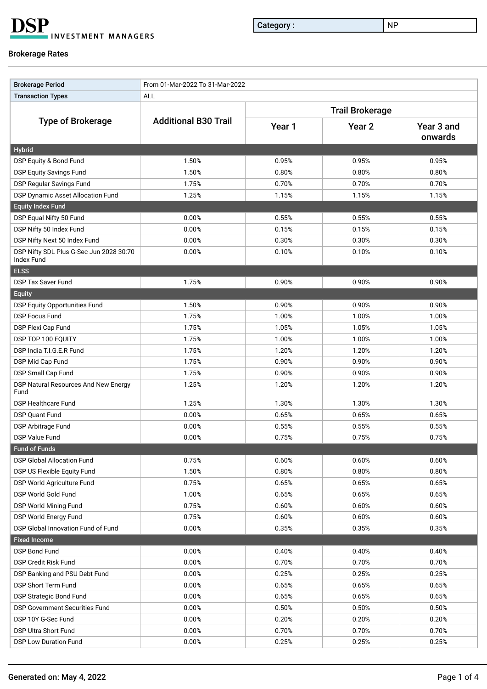**DSP INVESTMENT MANAGERS** 

Category : NP

### Brokerage Rates

| <b>Brokerage Period</b>                                      | From 01-Mar-2022 To 31-Mar-2022 |                        |                   |                       |  |  |  |
|--------------------------------------------------------------|---------------------------------|------------------------|-------------------|-----------------------|--|--|--|
| <b>Transaction Types</b>                                     | ALL                             |                        |                   |                       |  |  |  |
|                                                              |                                 | <b>Trail Brokerage</b> |                   |                       |  |  |  |
| <b>Type of Brokerage</b>                                     | <b>Additional B30 Trail</b>     | Year 1                 | Year <sub>2</sub> | Year 3 and<br>onwards |  |  |  |
| <b>Hybrid</b>                                                |                                 |                        |                   |                       |  |  |  |
| DSP Equity & Bond Fund                                       | 1.50%                           | 0.95%                  | 0.95%             | 0.95%                 |  |  |  |
| <b>DSP Equity Savings Fund</b>                               | 1.50%                           | 0.80%                  | 0.80%             | 0.80%                 |  |  |  |
| DSP Regular Savings Fund                                     | 1.75%                           | 0.70%                  | 0.70%             | 0.70%                 |  |  |  |
| DSP Dynamic Asset Allocation Fund                            | 1.25%                           | 1.15%                  | 1.15%             | 1.15%                 |  |  |  |
| <b>Equity Index Fund</b>                                     |                                 |                        |                   |                       |  |  |  |
| DSP Equal Nifty 50 Fund                                      | 0.00%                           | 0.55%                  | 0.55%             | 0.55%                 |  |  |  |
| DSP Nifty 50 Index Fund                                      | 0.00%                           | 0.15%                  | 0.15%             | 0.15%                 |  |  |  |
| DSP Nifty Next 50 Index Fund                                 | 0.00%                           | 0.30%                  | 0.30%             | 0.30%                 |  |  |  |
| DSP Nifty SDL Plus G-Sec Jun 2028 30:70<br><b>Index Fund</b> | 0.00%                           | 0.10%                  | 0.10%             | 0.10%                 |  |  |  |
| <b>ELSS</b>                                                  |                                 |                        |                   |                       |  |  |  |
| <b>DSP Tax Saver Fund</b>                                    | 1.75%                           | 0.90%                  | 0.90%             | 0.90%                 |  |  |  |
| <b>Equity</b>                                                |                                 |                        |                   |                       |  |  |  |
| DSP Equity Opportunities Fund                                | 1.50%                           | 0.90%                  | 0.90%             | 0.90%                 |  |  |  |
| <b>DSP Focus Fund</b>                                        | 1.75%                           | 1.00%                  | 1.00%             | 1.00%                 |  |  |  |
| DSP Flexi Cap Fund                                           | 1.75%                           | 1.05%                  | 1.05%             | 1.05%                 |  |  |  |
| DSP TOP 100 EQUITY                                           | 1.75%                           | 1.00%                  | 1.00%             | 1.00%                 |  |  |  |
| DSP India T.I.G.E.R Fund                                     | 1.75%                           | 1.20%                  | 1.20%             | 1.20%                 |  |  |  |
| DSP Mid Cap Fund                                             | 1.75%                           | 0.90%                  | 0.90%             | 0.90%                 |  |  |  |
| DSP Small Cap Fund                                           | 1.75%                           | 0.90%                  | 0.90%             | 0.90%                 |  |  |  |
| DSP Natural Resources And New Energy<br>Fund                 | 1.25%                           | 1.20%                  | 1.20%             | 1.20%                 |  |  |  |
| <b>DSP Healthcare Fund</b>                                   | 1.25%                           | 1.30%                  | 1.30%             | 1.30%                 |  |  |  |
| <b>DSP Quant Fund</b>                                        | 0.00%                           | 0.65%                  | 0.65%             | 0.65%                 |  |  |  |
| DSP Arbitrage Fund                                           | 0.00%                           | 0.55%                  | 0.55%             | 0.55%                 |  |  |  |
| <b>DSP Value Fund</b>                                        | 0.00%                           | 0.75%                  | 0.75%             | 0.75%                 |  |  |  |
| <b>Fund of Funds</b>                                         |                                 |                        |                   |                       |  |  |  |
| <b>DSP Global Allocation Fund</b>                            | 0.75%                           | 0.60%                  | 0.60%             | 0.60%                 |  |  |  |
| DSP US Flexible Equity Fund                                  | 1.50%                           | 0.80%                  | 0.80%             | 0.80%                 |  |  |  |
| DSP World Agriculture Fund                                   | 0.75%                           | 0.65%                  | 0.65%             | 0.65%                 |  |  |  |
| DSP World Gold Fund                                          | 1.00%                           | 0.65%                  | 0.65%             | 0.65%                 |  |  |  |
| DSP World Mining Fund                                        | 0.75%                           | 0.60%                  | 0.60%             | 0.60%                 |  |  |  |
| DSP World Energy Fund                                        | 0.75%                           | 0.60%                  | 0.60%             | 0.60%                 |  |  |  |
| DSP Global Innovation Fund of Fund                           | 0.00%                           | 0.35%                  | 0.35%             | 0.35%                 |  |  |  |
| <b>Fixed Income</b>                                          |                                 |                        |                   |                       |  |  |  |
| DSP Bond Fund                                                | 0.00%                           | 0.40%                  | 0.40%             | 0.40%                 |  |  |  |
| <b>DSP Credit Risk Fund</b>                                  | 0.00%                           | 0.70%                  | 0.70%             | 0.70%                 |  |  |  |
| DSP Banking and PSU Debt Fund                                | 0.00%                           | 0.25%                  | 0.25%             | 0.25%                 |  |  |  |
| DSP Short Term Fund                                          | 0.00%                           | 0.65%                  | 0.65%             | 0.65%                 |  |  |  |
| <b>DSP Strategic Bond Fund</b>                               | 0.00%                           | 0.65%                  | 0.65%             | 0.65%                 |  |  |  |
| <b>DSP Government Securities Fund</b>                        | 0.00%                           | 0.50%                  | 0.50%             | 0.50%                 |  |  |  |
| DSP 10Y G-Sec Fund                                           | 0.00%                           | 0.20%                  | 0.20%             | 0.20%                 |  |  |  |
| DSP Ultra Short Fund                                         | 0.00%                           | 0.70%                  | 0.70%             | 0.70%                 |  |  |  |
| DSP Low Duration Fund                                        | 0.00%                           | 0.25%                  | 0.25%             | 0.25%                 |  |  |  |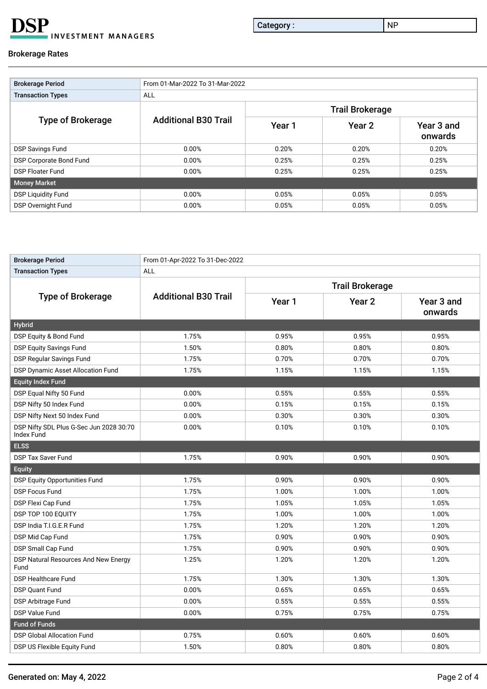**DSP** INVESTMENT MANAGERS

Category : NP

### Brokerage Rates

| <b>Brokerage Period</b>   | From 01-Mar-2022 To 31-Mar-2022 |        |                        |                       |  |  |  |  |
|---------------------------|---------------------------------|--------|------------------------|-----------------------|--|--|--|--|
| <b>Transaction Types</b>  | <b>ALL</b>                      |        |                        |                       |  |  |  |  |
|                           |                                 |        | <b>Trail Brokerage</b> |                       |  |  |  |  |
| <b>Type of Brokerage</b>  | <b>Additional B30 Trail</b>     | Year 1 | Year 2                 | Year 3 and<br>onwards |  |  |  |  |
| <b>DSP Savings Fund</b>   | 0.00%                           | 0.20%  | 0.20%                  | 0.20%                 |  |  |  |  |
| DSP Corporate Bond Fund   | 0.00%                           | 0.25%  | 0.25%                  | 0.25%                 |  |  |  |  |
| <b>DSP Floater Fund</b>   | 0.00%                           | 0.25%  | 0.25%                  | 0.25%                 |  |  |  |  |
| Money Market              |                                 |        |                        |                       |  |  |  |  |
| <b>DSP Liquidity Fund</b> | 0.00%                           | 0.05%  | 0.05%                  | 0.05%                 |  |  |  |  |
| <b>DSP Overnight Fund</b> | 0.00%                           | 0.05%  | 0.05%                  | 0.05%                 |  |  |  |  |

| <b>Brokerage Period</b>                                      | From 01-Apr-2022 To 31-Dec-2022 |                        |                   |                       |  |  |  |
|--------------------------------------------------------------|---------------------------------|------------------------|-------------------|-----------------------|--|--|--|
| <b>Transaction Types</b>                                     | ALL                             |                        |                   |                       |  |  |  |
|                                                              |                                 | <b>Trail Brokerage</b> |                   |                       |  |  |  |
| <b>Type of Brokerage</b>                                     | <b>Additional B30 Trail</b>     | Year 1                 | Year <sub>2</sub> | Year 3 and<br>onwards |  |  |  |
| <b>Hybrid</b>                                                |                                 |                        |                   |                       |  |  |  |
| DSP Equity & Bond Fund                                       | 1.75%                           | 0.95%                  | 0.95%             | 0.95%                 |  |  |  |
| <b>DSP Equity Savings Fund</b>                               | 1.50%                           | 0.80%                  | 0.80%             | 0.80%                 |  |  |  |
| <b>DSP Regular Savings Fund</b>                              | 1.75%                           | 0.70%                  | 0.70%             | 0.70%                 |  |  |  |
| <b>DSP Dynamic Asset Allocation Fund</b>                     | 1.75%                           | 1.15%                  | 1.15%             | 1.15%                 |  |  |  |
| <b>Equity Index Fund</b>                                     |                                 |                        |                   |                       |  |  |  |
| DSP Equal Nifty 50 Fund                                      | 0.00%                           | 0.55%                  | 0.55%             | 0.55%                 |  |  |  |
| DSP Nifty 50 Index Fund                                      | 0.00%                           | 0.15%                  | 0.15%             | 0.15%                 |  |  |  |
| DSP Nifty Next 50 Index Fund                                 | 0.00%                           | 0.30%                  | 0.30%             | 0.30%                 |  |  |  |
| DSP Nifty SDL Plus G-Sec Jun 2028 30:70<br><b>Index Fund</b> | 0.00%                           | 0.10%                  | 0.10%             | 0.10%                 |  |  |  |
| <b>ELSS</b>                                                  |                                 |                        |                   |                       |  |  |  |
| DSP Tax Saver Fund                                           | 1.75%                           | 0.90%                  | 0.90%             | 0.90%                 |  |  |  |
| <b>Equity</b>                                                |                                 |                        |                   |                       |  |  |  |
| <b>DSP Equity Opportunities Fund</b>                         | 1.75%                           | 0.90%                  | 0.90%             | 0.90%                 |  |  |  |
| <b>DSP Focus Fund</b>                                        | 1.75%                           | 1.00%                  | 1.00%             | 1.00%                 |  |  |  |
| DSP Flexi Cap Fund                                           | 1.75%                           | 1.05%                  | 1.05%             | 1.05%                 |  |  |  |
| DSP TOP 100 EQUITY                                           | 1.75%                           | 1.00%                  | 1.00%             | 1.00%                 |  |  |  |
| DSP India T.I.G.E.R Fund                                     | 1.75%                           | 1.20%                  | 1.20%             | 1.20%                 |  |  |  |
| DSP Mid Cap Fund                                             | 1.75%                           | 0.90%                  | 0.90%             | 0.90%                 |  |  |  |
| DSP Small Cap Fund                                           | 1.75%                           | 0.90%                  | 0.90%             | 0.90%                 |  |  |  |
| DSP Natural Resources And New Energy<br>Fund                 | 1.25%                           | 1.20%                  | 1.20%             | 1.20%                 |  |  |  |
| <b>DSP Healthcare Fund</b>                                   | 1.75%                           | 1.30%                  | 1.30%             | 1.30%                 |  |  |  |
| <b>DSP Quant Fund</b>                                        | 0.00%                           | 0.65%                  | 0.65%             | 0.65%                 |  |  |  |
| DSP Arbitrage Fund                                           | 0.00%                           | 0.55%                  | 0.55%             | 0.55%                 |  |  |  |
| <b>DSP Value Fund</b>                                        | 0.00%                           | 0.75%                  | 0.75%             | 0.75%                 |  |  |  |
| <b>Fund of Funds</b>                                         |                                 |                        |                   |                       |  |  |  |
| <b>DSP Global Allocation Fund</b>                            | 0.75%                           | 0.60%                  | 0.60%             | 0.60%                 |  |  |  |
| DSP US Flexible Equity Fund                                  | 1.50%                           | 0.80%                  | 0.80%             | 0.80%                 |  |  |  |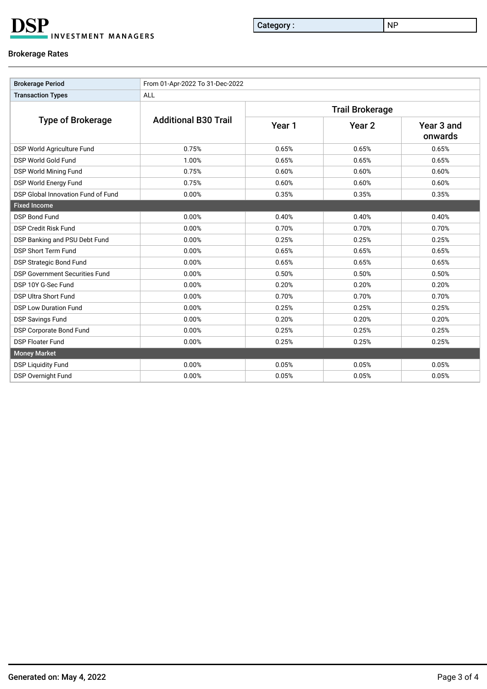**DSP INVESTMENT MANAGERS** 

Category : NP

### Brokerage Rates

| <b>Brokerage Period</b>               | From 01-Apr-2022 To 31-Dec-2022 |                        |                   |                       |  |  |  |
|---------------------------------------|---------------------------------|------------------------|-------------------|-----------------------|--|--|--|
| <b>Transaction Types</b>              | <b>ALL</b>                      |                        |                   |                       |  |  |  |
|                                       |                                 | <b>Trail Brokerage</b> |                   |                       |  |  |  |
| <b>Type of Brokerage</b>              | <b>Additional B30 Trail</b>     | Year 1                 | Year <sub>2</sub> | Year 3 and<br>onwards |  |  |  |
| DSP World Agriculture Fund            | 0.75%                           | 0.65%                  | 0.65%             | 0.65%                 |  |  |  |
| DSP World Gold Fund                   | 1.00%                           | 0.65%                  | 0.65%             | 0.65%                 |  |  |  |
| DSP World Mining Fund                 | 0.75%                           | 0.60%                  | 0.60%             | 0.60%                 |  |  |  |
| DSP World Energy Fund                 | 0.75%                           | 0.60%                  | 0.60%             | 0.60%                 |  |  |  |
| DSP Global Innovation Fund of Fund    | 0.00%                           | 0.35%                  | 0.35%             | 0.35%                 |  |  |  |
| <b>Fixed Income</b>                   |                                 |                        |                   |                       |  |  |  |
| <b>DSP Bond Fund</b>                  | 0.00%                           | 0.40%                  | 0.40%             | 0.40%                 |  |  |  |
| <b>DSP Credit Risk Fund</b>           | 0.00%                           | 0.70%                  | 0.70%             | 0.70%                 |  |  |  |
| DSP Banking and PSU Debt Fund         | 0.00%                           | 0.25%                  | 0.25%             | 0.25%                 |  |  |  |
| <b>DSP Short Term Fund</b>            | 0.00%                           | 0.65%                  | 0.65%             | 0.65%                 |  |  |  |
| <b>DSP Strategic Bond Fund</b>        | 0.00%                           | 0.65%                  | 0.65%             | 0.65%                 |  |  |  |
| <b>DSP Government Securities Fund</b> | 0.00%                           | 0.50%                  | 0.50%             | 0.50%                 |  |  |  |
| DSP 10Y G-Sec Fund                    | 0.00%                           | 0.20%                  | 0.20%             | 0.20%                 |  |  |  |
| <b>DSP Ultra Short Fund</b>           | 0.00%                           | 0.70%                  | 0.70%             | 0.70%                 |  |  |  |
| <b>DSP Low Duration Fund</b>          | 0.00%                           | 0.25%                  | 0.25%             | 0.25%                 |  |  |  |
| <b>DSP Savings Fund</b>               | 0.00%                           | 0.20%                  | 0.20%             | 0.20%                 |  |  |  |
| <b>DSP Corporate Bond Fund</b>        | 0.00%                           | 0.25%                  | 0.25%             | 0.25%                 |  |  |  |
| <b>DSP Floater Fund</b>               | 0.00%                           | 0.25%                  | 0.25%             | 0.25%                 |  |  |  |
| <b>Money Market</b>                   |                                 |                        |                   |                       |  |  |  |
| <b>DSP Liquidity Fund</b>             | 0.00%                           | 0.05%                  | 0.05%             | 0.05%                 |  |  |  |
| DSP Overnight Fund                    | 0.00%                           | 0.05%                  | 0.05%             | 0.05%                 |  |  |  |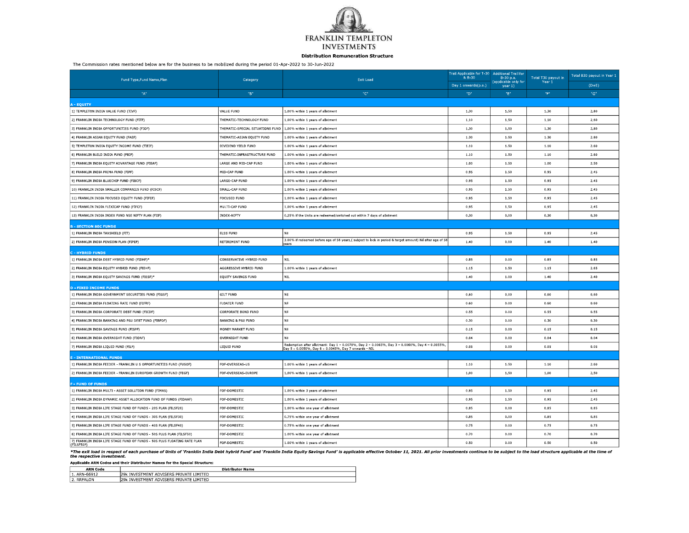

#### **Distribution Remuneration Structure**

The Commission rates mentioned below are for the business to be mobilized during the period 01-Apr-2022 to 30-Jun-2022

| Fund Type, Fund Name, Plan                                                             | Category                         | <b>Exit Load</b>                                                                                                                                        | Trail Applicable for T-30 Additional Trail for<br>& B-30<br>Day 1 onwards(p.a.) | B-30 p.a.<br>applicable only for | Total T30 payout in<br>Year 1 | Total B30 payout in Year 1<br>$(D+E)$ |
|----------------------------------------------------------------------------------------|----------------------------------|---------------------------------------------------------------------------------------------------------------------------------------------------------|---------------------------------------------------------------------------------|----------------------------------|-------------------------------|---------------------------------------|
| $\,^{\rm n}{\rm A}^{\rm n}$                                                            | "B"                              | "с"                                                                                                                                                     | "D"                                                                             | year 1)<br>"E"                   | "F"                           | "G"                                   |
|                                                                                        |                                  |                                                                                                                                                         |                                                                                 |                                  |                               |                                       |
| - EQUITY<br>1) TEMPLETON INDIA VALUE FUND (TIVF)                                       | VALUE FUND                       | 1.00% within 1 years of allotment                                                                                                                       | 1.30                                                                            | 1.50                             | 1.30                          | 2.80                                  |
| 2) FRANKLIN INDIA TECHNOLOGY FUND (FITF)                                               | THEMATIC TECHNOLOGY FUND         | 1.00% within 1 years of allotment                                                                                                                       | 1.10                                                                            | 1.50                             | 1.10                          | 2.60                                  |
| 3) FRANKLIN INDIA OPPORTUNITIES FUND (FIOF)                                            | THEMATIC SPECIAL SITUATIONS FUND | 1.00% within 1 years of allotment                                                                                                                       | 1.30                                                                            | 1.50                             | 1.30                          | 2,80                                  |
| 4) FRANKLIN ASIAN EQUITY FUND (FAEF)                                                   | THEMATIC ASIAN EQUITY FUND       | 1,00% within 1 years of allotment                                                                                                                       | 1.30                                                                            | 1.50                             | 1,30                          | 2,80                                  |
| 5) TEMPLETON INDIA EQUITY INCOME FUND (TIEIF)                                          | DIVIDEND YIELD FUND              | 1.00% within 1 years of allotment                                                                                                                       | 1.10                                                                            | 1.50                             | 1.10                          | 2.60                                  |
| 6) FRANKLIN BUILD INDIA FUND (FBIF)                                                    | THEMATIC INFRASTRUCTURE FUND     | 1,00% within 1 years of allotment                                                                                                                       | 1.10                                                                            | 1.50                             | 1.10                          | 2.60                                  |
| 7) FRANKLIN INDIA EQUITY ADVANTAGE FUND (FIEAF)                                        | LARGE AND MID-CAP FUND           | 1.00% within 1 vears of allotment                                                                                                                       | 1,00                                                                            | 1.50                             | 1,00                          | 2.50                                  |
| 8) FRANKLIN INDIA PRIMA FUND (FIPF)                                                    | MID-CAP FUND                     | 1.00% within 1 years of allotment                                                                                                                       | 0.95                                                                            | 1.50                             | 0.95                          | 2.45                                  |
| 9) FRANKLIN INDIA BLUECHIP FUND (FIBCF)                                                | LARGE CAP FUND                   | 1,00% within 1 years of allotment                                                                                                                       | 0.95                                                                            | 1.50                             | 0.95                          | 2.45                                  |
| 10) FRANKLIN INDIA SMALLER COMPANIES FUND (FISCF)                                      | SMALL-CAP FUND                   | 1.00% within 1 years of allotment                                                                                                                       | 0.95                                                                            | 1.50                             | 0.95                          | 2.45                                  |
| 11) FRANKLIN INDIA FOCUSED EQUITY FUND (FIFEF)                                         | <b>FOCUSED FUND</b>              | 1.00% within 1 years of allotment                                                                                                                       | 0.95                                                                            | 1.50                             | 0.95                          | 2.45                                  |
| 12) FRANKLIN INDIA FLEXICAP FUND (FIFCF)                                               | MULTI-CAP FUND                   | 1,00% within 1 years of allotment                                                                                                                       | 0.95                                                                            | 1.50                             | 0.95                          | 2.45                                  |
| 13) FRANKLIN INDIA INDEX FUND NSE NIFTY PLAN (FIIF)                                    | INDEX NIFTY                      | ) 25% if the Units are redeemed/switched out within 7 days of allotment                                                                                 | 0.30                                                                            | 0.00                             | 0.30                          | 0.30                                  |
| - SECTION 80C FUNDS                                                                    |                                  |                                                                                                                                                         |                                                                                 |                                  |                               |                                       |
| 1) FRANKLIN INDIA TAXSHIELD (FIT)                                                      | <b>ELSS FUND</b>                 | Nil                                                                                                                                                     | 0.95                                                                            | 1.50                             | 0.95                          | 2.45                                  |
| 2) FRANKLIN INDIA PENSION PLAN (FIPEP)                                                 | RETIREMENT FUND                  | 3.00% if redeemed before age of 58 years,( subject to lock in period & target amount) Nil after age of 58<br>ears                                       | 1.40                                                                            | 0.00                             | 1.40                          | 1.40                                  |
| - HYBRID FUNDS                                                                         |                                  |                                                                                                                                                         |                                                                                 |                                  |                               |                                       |
| 1) FRANKLIN INDIA DEBT HYBRID FUND (FIDHF)*                                            | CONSERVATIVE HYBRID FUND         | NTL.                                                                                                                                                    | 0.85                                                                            | 0.00                             | 0.85                          | 0.85                                  |
| 2) FRANKLIN INDIA EQUITY HYBRID FUND (FIEHF)                                           | AGGRESSIVE HYBRID FUND           | 1.00% within 1 years of allotment                                                                                                                       | 1.15                                                                            | 1.50                             | 1.15                          | 2.65                                  |
| 3) FRANKLIN INDIA EQUITY SAVINGS FUND (FIESF)*                                         | EQUITY SAVINGS FUND              | NIL                                                                                                                                                     | 1.40                                                                            | 1.00                             | 1.40                          | 2.40                                  |
| - FIXED INCOME FUNDS                                                                   |                                  |                                                                                                                                                         |                                                                                 |                                  |                               |                                       |
| 1) FRANKLIN INDIA GOVERNMENT SECURITIES FUND (FIGSF)                                   | <b>GILT FUND</b>                 | Ni                                                                                                                                                      | 0.60                                                                            | 0.00                             | 0.60                          | 0.60                                  |
| 2) FRANKLIN INDIA FLOATING RATE FUND (FIFRF)                                           | FLOATER FUND                     | Nil                                                                                                                                                     | 0.60                                                                            | 0.00                             | 0.60                          | 0.60                                  |
| 3) FRANKLIN INDIA CORPORATE DEBT FUND (FICDF)                                          | CORPORATE BOND FUND              | Nil                                                                                                                                                     | 0.55                                                                            | 0.00                             | 0.55                          | 0.55                                  |
| 4) FRANKLIN INDIA BANKING AND PSU DEBT FUND (FIBPDF)                                   | <b>BANKING &amp; PSU FUND</b>    | Nil                                                                                                                                                     | 0.30                                                                            | 0.00                             | 0.30                          | 0.30                                  |
| 5) FRANKLIN INDIA SAVINGS FUND (FISPF)                                                 | MONEY MARKET FUND                | Nil                                                                                                                                                     | 0.15                                                                            | 0.00                             | 0.15                          | 0.15                                  |
| 6) FRANKLIN INDIA OVERNIGHT FUND (FIONF)                                               | OVERNIGHT FUND                   | Nil                                                                                                                                                     | 0.04                                                                            | 0,00                             | 0.04                          | 0.04                                  |
| 7) FRANKLIN INDIA LIQUID FUND (FILF)                                                   | LIQUID FUND                      | Redemption after allotment: Day 1 – 0.0070%, Day 2 – 0.0065%, Day 3 – 0.0060%, Day 4 – 0.0055%<br>Day 5 – 0.0050%, Day 6 – 0.0045%, Day 7 onwards – NIL | 0.05                                                                            | 0.00                             | 0.05                          | 0.05                                  |
| - INTERNATIONAL FUNDS                                                                  |                                  |                                                                                                                                                         |                                                                                 |                                  |                               |                                       |
| 1) FRANKLIN INDIA FEEDER - FRANKLIN U S OPPORTUNITIES FUND (FUSOF)                     | FOF OVERSEAS US                  | 1.00% within 1 years of allotment                                                                                                                       | 1.10                                                                            | 1.50                             | 1.10                          | 2.60                                  |
| 2) FRANKLIN INDIA FEEDER - FRANKLIN EUROPEAN GROWTH FUND (FEGF)                        | FOF OVERSEAS EUROPE              | 1.00% within 1 years of allotment                                                                                                                       | 1.00                                                                            | 1.50                             | 1.00                          | 2.50                                  |
| - FUND OF FUNDS                                                                        |                                  |                                                                                                                                                         |                                                                                 |                                  |                               |                                       |
| 1) FRANKLIN INDIA MULTI ASSET SOLUTION FUND (FIMAS)                                    | FOF DOMESTIC                     | 1.00% within 3 years of allotment                                                                                                                       | 0.95                                                                            | 1.50                             | 0.95                          | 2.45                                  |
| 2) FRANKLIN INDIA DYNAMIC ASSET ALLOCATION FUND OF FUNDS (FIDAAF)                      | FOF-DOMESTIC                     | 1,00% within 1 years of allotment                                                                                                                       | 0.95                                                                            | 1.50                             | 0.95                          | 2.45                                  |
| 3) FRANKLIN INDIA LIFE STAGE FUND OF FUNDS - 20S PLAN (FILSF20)                        | FOF-DOMESTIC                     | 1,00% within one vear of allotment                                                                                                                      | 0.85                                                                            | 0.00                             | 0.85                          | 0.85                                  |
| 4) FRANKLIN INDIA LIFE STAGE FUND OF FUNDS 30S PLAN (FILSF30)                          | FOF DOMESTIC                     | 0.75% within one year of allotment                                                                                                                      | 0.85                                                                            | 0.00                             | 0.85                          | 0.85                                  |
| 5) FRANKLIN INDIA LIFE STAGE FUND OF FUNDS - 40S PLAN (FILSF40)                        | FOF-DOMESTIC                     | 0.75% within one year of allotment                                                                                                                      | 0.75                                                                            | 0.00                             | 0.75                          | 0.75                                  |
| 6) FRANKLIN INDIA LIFE STAGE FUND OF FUNDS - 50S PLUS PLAN (FILSF50)                   | FOF DOMESTIC                     | 1.00% within one year of allotment                                                                                                                      | 0.70                                                                            | 0.00                             | 0.70                          | 0.70                                  |
| 7) FRANKLIN INDIA LIFE STAGE FUND OF FUNDS - 50S PLUS FLOATING RATE PLAN<br>(FILSF50P) | FOF DOMESTIC                     | 1.00% within 1 years of allotment                                                                                                                       | 0.50                                                                            | 0.00                             | 0.50                          | 0.50                                  |

\*The exit load in respect of each purchase of Units of `Franklin India Debt hybrid Fund' and `Franklin India Equity Savings Fund' is applicable effective October 11, 2021. All prior investments continue to be subject to th

Applicable ARN Codes and their Distributor Names for the Special Structure:

| Code<br><b>ARN</b> | <b>Distributor Name</b>                                      |
|--------------------|--------------------------------------------------------------|
| ARN 66912          | <b>DOL</b><br>ADVISERS PRIVATE I<br>LIMITED<br>: INVESTMENT  |
| 2. RRFALON         | ADVISERS PRIVATE<br>« INVESTMENT<br><b>LIMITED</b><br>∍ים בי |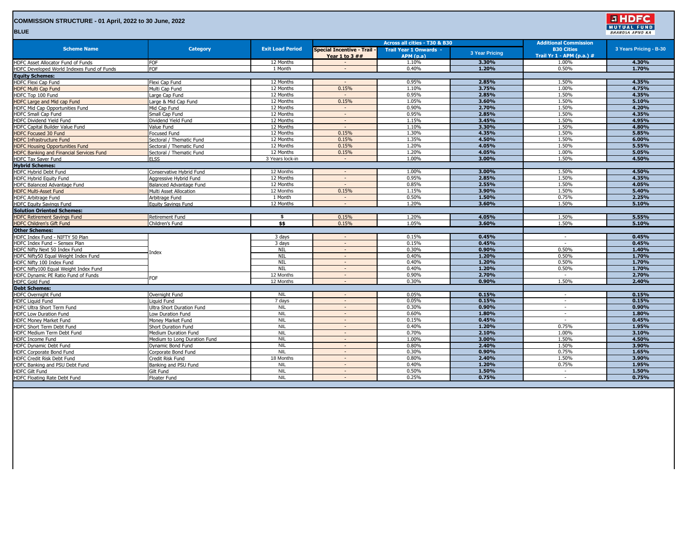| COMMISSION STRUCTURE - 01 April, 2022 to 30 June, 2022<br><b>BLUE</b> |                              |                         |                                                 |                                            |                       |                                                | <b>E HDFC</b><br><b>MUTUAL FUND</b><br><b>BHAROSA APNO KA</b> |
|-----------------------------------------------------------------------|------------------------------|-------------------------|-------------------------------------------------|--------------------------------------------|-----------------------|------------------------------------------------|---------------------------------------------------------------|
|                                                                       |                              |                         |                                                 | Across all cities - T30 & B30              |                       | <b>Additional Commission</b>                   |                                                               |
| <b>Scheme Name</b>                                                    | <b>Category</b>              | <b>Exit Load Period</b> | Special Incentive - Trail ·<br>Year 1 to $3$ ## | <b>Trail Year 1 Onwards -</b><br>APM (p.a) | <b>3 Year Pricing</b> | <b>B30 Cities</b><br>Trail Yr 1 - APM (p.a.) # | 3 Years Pricing - B-30                                        |
| HDFC Asset Allocator Fund of Funds                                    | FOF                          | 12 Months               |                                                 | 1.10%                                      | 3.30%                 | 1.00%                                          | 4.30%                                                         |
| HDFC Developed World Indexes Fund of Funds                            | FOF                          | 1 Month                 | $\sim$                                          | 0.40%                                      | 1.20%                 | 0.50%                                          | 1.70%                                                         |
| <b>Equity Schemes:</b>                                                |                              |                         |                                                 |                                            |                       |                                                |                                                               |
| HDFC Flexi Cap Fund                                                   | Flexi Cap Fund               | 12 Months               | $\sim$                                          | 0.95%                                      | 2.85%                 | 1.50%                                          | 4.35%                                                         |
| <b>HDFC Multi Cap Fund</b>                                            | Multi Cap Fund               | 12 Months               | 0.15%                                           | 1.10%                                      | 3.75%                 | 1.00%                                          | 4.75%                                                         |
| HDFC Top 100 Fund                                                     | arge Cap Fund                | 12 Months               |                                                 | 0.95%                                      | 2.85%                 | 1.50%                                          | 4.35%                                                         |
| HDFC Large and Mid cap Fund                                           | Large & Mid Cap Fund         | 12 Months               | 0.15%                                           | 1.05%                                      | 3.60%                 | 1.50%                                          | 5.10%                                                         |
| HDFC Mid Cap Opportunities Fund                                       | Mid Cap Fund                 | 12 Months               |                                                 | 0.90%                                      | 2.70%                 | 1.50%                                          | 4.20%                                                         |
| HDFC Small Cap Fund                                                   | Small Cap Fund               | 12 Months               | $\sim$                                          | 0.95%                                      | 2.85%                 | 1.50%                                          | 4.35%                                                         |
| HDFC Dividend Yield Fund                                              | Dividend Yield Fund          | 12 Months               | $\sim$                                          | 1.15%                                      | 3.45%                 | 1.50%                                          | 4.95%                                                         |
| HDFC Capital Builder Value Fund                                       | Value Fund                   | 12 Months               | $\sim$                                          | 1.10%                                      | 3.30%                 | 1.50%                                          | 4.80%                                                         |
| <b>HDFC Focused 30 Fund</b>                                           | Focused Fund                 | 12 Months               | 0.15%                                           | 1.30%                                      | 4.35%                 | 1.50%                                          | 5.85%                                                         |
| <b>HDFC Infrastructure Fund</b>                                       | Sectoral / Thematic Fund     | 12 Months               | 0.15%                                           | 1.35%                                      | 4.50%                 | 1.50%                                          | 6.00%                                                         |
| <b>HDFC Housing Opportunities Fund</b>                                | Sectoral / Thematic Fund     | 12 Months               | 0.15%                                           | 1.20%                                      | 4.05%                 | 1.50%                                          | 5.55%                                                         |
| HDFC Banking and Financial Services Fund                              | Sectoral / Thematic Fund     | 12 Months               | 0.15%                                           | 1.20%                                      | 4.05%                 | 1.00%                                          | 5.05%                                                         |
| HDFC Tax Saver Fund                                                   | <b>ELSS</b>                  | 3 Years lock-in         | $\sim$                                          | 1.00%                                      | 3.00%                 | 1.50%                                          | 4.50%                                                         |
| <b>Hybrid Schemes:</b>                                                |                              |                         |                                                 |                                            |                       |                                                |                                                               |
| HDFC Hybrid Debt Fund                                                 | Conservative Hybrid Fund     | 12 Months               |                                                 | 1.00%                                      | 3.00%                 | 1.50%                                          | 4.50%                                                         |
| <b>HDFC Hybrid Equity Fund</b>                                        | Aggressive Hybrid Fund       | 12 Months               | $\sim$                                          | 0.95%                                      | 2.85%                 | 1.50%                                          | 4.35%                                                         |
| HDFC Balanced Advantage Fund                                          | Balanced Advantage Fund      | 12 Months               |                                                 | 0.85%                                      | 2.55%                 | 1.50%                                          | 4.05%                                                         |
| <b>HDFC Multi-Asset Fund</b>                                          | Multi Asset Allocation       | 12 Months               | 0.15%                                           | 1.15%                                      | 3.90%                 | 1.50%                                          | 5.40%                                                         |
| <b>HDFC Arbitrage Fund</b>                                            | Arbitrage Fund               | 1 Month                 | $\sim$                                          | 0.50%                                      | 1.50%                 | 0.75%                                          | 2.25%                                                         |
| <b>HDFC Equity Savings Fund</b>                                       | Equity Savings Fund          | 12 Months               |                                                 | 1.20%                                      | 3.60%                 | 1.50%                                          | 5.10%                                                         |
| <b>Solution Oriented Schemes:</b>                                     |                              |                         |                                                 |                                            |                       |                                                |                                                               |
| <b>HDFC Retirement Savings Fund</b>                                   | Retirement Fund              | - \$                    | 0.15%                                           | 1.20%                                      | 4.05%                 | 1.50%                                          | 5.55%                                                         |
| <b>HDFC Children's Gift Fund</b>                                      | Children's Fund              | \$\$                    | 0.15%                                           | 1.05%                                      | 3.60%                 | 1.50%                                          | 5.10%                                                         |
| <b>Other Schemes:</b>                                                 |                              |                         |                                                 |                                            |                       |                                                |                                                               |
| HDFC Index Fund - NIFTY 50 Plan                                       |                              | 3 days                  | $\sim$                                          | 0.15%                                      | 0.45%                 | $\sim$                                         | 0.45%                                                         |
| HDFC Index Fund - Sensex Plan                                         |                              | 3 days                  |                                                 | 0.15%                                      | 0.45%                 | $\overline{\phantom{a}}$                       | 0.45%                                                         |
| HDFC Nifty Next 50 Index Fund                                         | ndex                         | NIL                     | $\sim$                                          | 0.30%                                      | 0.90%                 | 0.50%                                          | 1.40%                                                         |
| HDFC Nifty50 Equal Weight Index Fund                                  |                              | <b>NIL</b>              | $\sim$                                          | 0.40%                                      | 1.20%                 | 0.50%                                          | 1.70%                                                         |
| HDFC Nifty 100 Index Fund                                             |                              | NIL                     | $\sim$                                          | 0.40%                                      | 1.20%                 | 0.50%                                          | 1.70%                                                         |
| HDFC Nifty100 Equal Weight Index Fund                                 |                              | <b>NIL</b>              | $\sim$                                          | 0.40%                                      | 1.20%                 | 0.50%                                          | 1.70%                                                         |
| HDFC Dynamic PE Ratio Fund of Funds                                   | FOF                          | 12 Months               | $\sim$                                          | 0.90%                                      | 2.70%                 |                                                | 2.70%                                                         |
| <b>HDFC Gold Fund</b>                                                 |                              | 12 Months               | $\sim$                                          | 0.30%                                      | 0.90%                 | 1.50%                                          | 2.40%                                                         |
| <b>Debt Schemes:</b>                                                  |                              |                         |                                                 |                                            |                       |                                                |                                                               |
| <b>HDFC Overnight Fund</b>                                            | Overnight Fund               | <b>NIL</b>              |                                                 | 0.05%                                      | 0.15%                 | $\overline{\phantom{a}}$                       | 0.15%                                                         |
| <b>HDFC Liquid Fund</b>                                               | iauid Fund                   | 7 days                  | $\sim$                                          | 0.05%                                      | 0.15%                 | $\sim$                                         | 0.15%                                                         |
| HDFC Ultra Short Term Fund                                            | Jltra Short Duration Fund    | <b>NIL</b>              | $\sim$                                          | 0.30%                                      | 0.90%                 | $\sim$                                         | 0.90%                                                         |
| <b>HDFC Low Duration Fund</b>                                         | Low Duration Fund            | <b>NIL</b>              | $\sim$                                          | 0.60%                                      | 1.80%                 | $\sim$                                         | 1.80%                                                         |
| <b>HDFC Monev Market Fund</b>                                         | Money Market Fund            | <b>NIL</b>              | $\sim$                                          | 0.15%                                      | 0.45%                 | $\sim$                                         | 0.45%                                                         |
| HDFC Short Term Debt Fund                                             | Short Duration Fund          | <b>NIL</b>              | $\sim$                                          | 0.40%                                      | 1.20%                 | 0.75%                                          | 1.95%                                                         |
| HDFC Medium Term Debt Fund                                            | Medium Duration Fund         | <b>NIL</b>              | $\sim$                                          | 0.70%                                      | 2.10%                 | 1.00%                                          | 3.10%                                                         |
| HDFC Income Fund                                                      | Medium to Long Duration Fund | <b>NIL</b>              |                                                 | 1.00%                                      | 3.00%                 | 1.50%                                          | 4.50%                                                         |
| HDFC Dynamic Debt Fund                                                | Dynamic Bond Fund            | <b>NIL</b>              | $\sim$                                          | 0.80%                                      | 2.40%                 | 1.50%                                          | 3.90%                                                         |
| <b>HDFC Corporate Bond Fund</b>                                       | Corporate Bond Fund          | <b>NIL</b>              | $\sim$<br>$\overline{a}$                        | 0.30%                                      | 0.90%                 | 0.75%                                          | 1.65%                                                         |
| <b>HDFC Credit Risk Debt Fund</b>                                     | Credit Risk Fund             | 18 Months<br><b>NIL</b> | $\sim$                                          | 0.80%<br>0.40%                             | 2.40%<br>1.20%        | 1.50%<br>0.75%                                 | 3.90%<br>1.95%                                                |
| HDFC Banking and PSU Debt Fund                                        | Banking and PSU Fund         | <b>NIL</b>              |                                                 |                                            |                       |                                                |                                                               |
| <b>HDFC Gilt Fund</b>                                                 | Gilt Fund                    |                         | $\sim$<br>$\sim$                                | 0.50%<br>0.25%                             | 1.50%                 | $\sim$                                         | 1.50%                                                         |
| HDFC Floating Rate Debt Fund                                          | Floater Fund                 | <b>NIL</b>              |                                                 |                                            | 0.75%                 |                                                | 0.75%                                                         |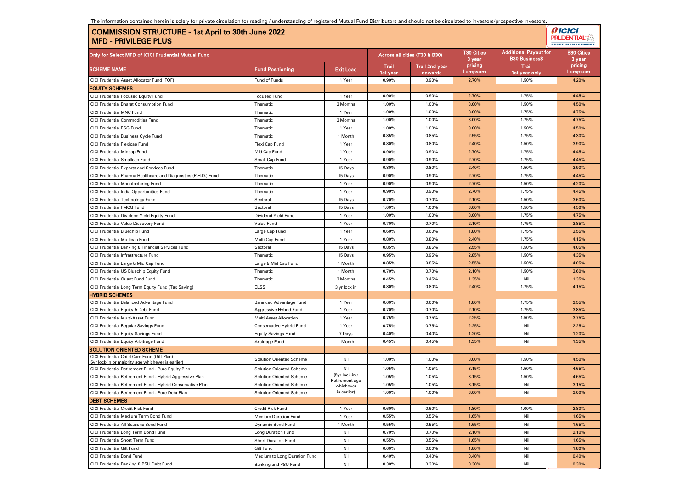| The information contained herein is solely for private circulation for reading / understanding of registered Mutual Fund Distributors and should not be circulated to investors/prospective investors. |                                                                      |
|--------------------------------------------------------------------------------------------------------------------------------------------------------------------------------------------------------|----------------------------------------------------------------------|
| COMMISSION STRUCTURE - 1st April to 30th June 2022  <br>l MFD - PRIVILEGE PLUS                                                                                                                         | <i><b>AICICI</b></i><br><b>PRUDENTIAL</b><br><b>ASSET MANAGEMENT</b> |

| Only for Select MFD of ICICI Prudential Mutual Fund                                                                      |                                                                    | Across all cities (T30 & B30) |                          | <b>T30 Cities</b><br>3 year      | <b>Additional Payout for</b><br><b>B30 Business\$</b> | <b>B30 Cities</b><br>3 year   |                    |
|--------------------------------------------------------------------------------------------------------------------------|--------------------------------------------------------------------|-------------------------------|--------------------------|----------------------------------|-------------------------------------------------------|-------------------------------|--------------------|
| <b>SCHEME NAME</b>                                                                                                       | <b>Fund Positioning</b>                                            | <b>Exit Load</b>              | <b>Trail</b><br>1st year | <b>Trail 2nd year</b><br>onwards | pricing<br>Lumpsum                                    | <b>Trail</b><br>1st year only | pricing<br>Lumpsum |
| <b>ICICI Prudential Asset Allocator Fund (FOF)</b>                                                                       | Fund of Funds                                                      | 1 Year                        | 0.90%                    | 0.90%                            | 2.70%                                                 | 1.50%                         | 4.20%              |
| <b>EQUITY SCHEMES</b>                                                                                                    |                                                                    |                               |                          |                                  |                                                       |                               |                    |
| <b>ICICI Prudential Focused Equity Fund</b>                                                                              | Focused Fund                                                       | 1 Year                        | 0.90%                    | 0.90%                            | 2.70%                                                 | 1.75%                         | 4.45%              |
| <b>ICICI Prudential Bharat Consumption Fund</b>                                                                          | Thematic                                                           | 3 Months                      | 1.00%                    | 1.00%                            | 3.00%                                                 | 1.50%                         | 4.50%              |
| CICI Prudential MNC Fund                                                                                                 | Thematic                                                           | 1 Year                        | 1.00%                    | 1.00%                            | 3.00%                                                 | 1.75%                         | 4.75%              |
| CICI Prudential Commodities Fund                                                                                         | Thematic                                                           | 3 Months                      | 1.00%                    | 1.00%                            | 3.00%                                                 | 1.75%                         | 4.75%              |
| <b>ICICI Prudential ESG Fund</b>                                                                                         | Thematic                                                           | 1 Year                        | 1.00%                    | 1.00%                            | 3.00%                                                 | 1.50%                         | 4.50%              |
| <b>ICICI Prudential Business Cycle Fund</b>                                                                              | Thematic                                                           | 1 Month                       | 0.85%                    | 0.85%                            | 2.55%                                                 | 1.75%                         | 4.30%              |
| <b>ICICI Prudential Flexicap Fund</b>                                                                                    | Flexi Cap Fund                                                     | 1 Year                        | 0.80%                    | 0.80%                            | 2.40%                                                 | 1.50%                         | 3.90%              |
| <b>ICICI Prudential Midcap Fund</b>                                                                                      | Mid Cap Fund                                                       | 1 Year                        | 0.90%                    | 0.90%                            | 2.70%                                                 | 1.75%                         | 4.45%              |
| <b>ICICI Prudential Smallcap Fund</b>                                                                                    | Small Cap Fund                                                     | 1 Year                        | 0.90%                    | 0.90%                            | 2.70%                                                 | 1.75%                         | 4.45%              |
| CICI Prudential Exports and Services Fund                                                                                | Thematic                                                           | 15 Days                       | 0.80%                    | 0.80%                            | 2.40%                                                 | 1.50%                         | 3.90%              |
| CICI Prudential Pharma Healthcare and Diagnostics (P.H.D.) Fund                                                          | Thematic                                                           | 15 Days                       | 0.90%                    | 0.90%                            | 2.70%                                                 | 1.75%                         | 4.45%              |
| CICI Prudential Manufacturing Fund                                                                                       | Thematic                                                           | 1 Year                        | 0.90%                    | 0.90%                            | 2.70%                                                 | 1.50%                         | 4.20%              |
| CICI Prudential India Opportunities Fund                                                                                 | Thematic                                                           | 1 Year                        | 0.90%                    | 0.90%                            | 2.70%                                                 | 1.75%                         | 4.45%              |
| <b>ICICI Prudential Technology Fund</b>                                                                                  | Sectoral                                                           | 15 Days                       | 0.70%                    | 0.70%                            | 2.10%                                                 | 1.50%                         | 3.60%              |
| <b>CICI Prudential FMCG Fund</b>                                                                                         | Sectoral                                                           | 15 Days                       | 1.00%                    | 1.00%                            | 3.00%                                                 | 1.50%                         | 4.50%              |
| CICI Prudential Dividend Yield Equity Fund                                                                               | Dividend Yield Fund                                                | 1 Year                        | 1.00%                    | 1.00%                            | 3.00%                                                 | 1.75%                         | 4.75%              |
| CICI Prudential Value Discovery Fund                                                                                     | Value Fund                                                         | 1 Year                        | 0.70%                    | 0.70%                            | 2.10%                                                 | 1.75%                         | 3.85%              |
| CICI Prudential Bluechip Fund                                                                                            | arge Cap Fund                                                      | 1 Year                        | 0.60%                    | 0.60%                            | 1.80%                                                 | 1.75%                         | 3.55%              |
| <b>ICICI Prudential Multicap Fund</b>                                                                                    | Multi Cap Fund                                                     | 1 Year                        | 0.80%                    | 0.80%                            | 2.40%                                                 | 1.75%                         | 4.15%              |
| <b>ICICI Prudential Banking &amp; Financial Services Fund</b>                                                            | Sectoral                                                           | 15 Days                       | 0.85%                    | 0.85%                            | 2.55%                                                 | 1.50%                         | 4.05%              |
| CICI Prudential Infrastructure Fund                                                                                      | Thematic                                                           | 15 Days                       | 0.95%                    | 0.95%                            | 2.85%                                                 | 1.50%                         | 4.35%              |
| CICI Prudential Large & Mid Cap Fund                                                                                     | Large & Mid Cap Fund                                               | 1 Month                       | 0.85%                    | 0.85%                            | 2.55%                                                 | 1.50%                         | 4.05%              |
| CICI Prudential US Bluechip Equity Fund                                                                                  | Thematic                                                           | 1 Month                       | 0.70%                    | 0.70%                            | 2.10%                                                 | 1.50%                         | 3.60%              |
| <b>ICICI Prudential Quant Fund Fund</b>                                                                                  | Thematic                                                           | 3 Months                      | 0.45%                    | 0.45%                            | 1.35%                                                 | Nil                           | 1.35%              |
| ICICI Prudential Long Term Equity Fund (Tax Saving)                                                                      | <b>ELSS</b>                                                        | 3 yr lock in                  | 0.80%                    | 0.80%                            | 2.40%                                                 | 1.75%                         | 4.15%              |
| <b>HYBRID SCHEMES</b>                                                                                                    |                                                                    |                               |                          |                                  |                                                       |                               |                    |
| CICI Prudential Balanced Advantage Fund                                                                                  | <b>Balanced Advantage Fund</b>                                     | 1 Year                        | 0.60%                    | 0.60%                            | 1.80%                                                 | 1.75%                         | 3.55%              |
| CICI Prudential Equity & Debt Fund                                                                                       | Aggressive Hybrid Fund                                             | 1 Year                        | 0.70%                    | 0.70%                            | 2.10%                                                 | 1.75%                         | 3.85%              |
| ICICI Prudential Multi-Asset Fund                                                                                        | Multi Asset Allocation                                             | 1 Year                        | 0.75%                    | 0.75%                            | 2.25%                                                 | 1.50%                         | 3.75%              |
| ICICI Prudential Regular Savings Fund                                                                                    | Conservative Hybrid Fund                                           | 1 Year                        | 0.75%                    | 0.75%                            | 2.25%                                                 | Nil                           | 2.25%              |
| <b>ICICI Prudential Equity Savings Fund</b>                                                                              | Equity Savings Fund                                                | 7 Days                        | 0.40%                    | 0.40%                            | 1.20%                                                 | Nil                           | 1.20%              |
| ICICI Prudential Equity Arbitrage Fund                                                                                   | Arbitrage Fund                                                     | 1 Month                       | 0.45%                    | 0.45%                            | 1.35%                                                 | Nil                           | 1.35%              |
| <b>SOLUTION ORIENTED SCHEME</b>                                                                                          |                                                                    |                               |                          |                                  |                                                       |                               |                    |
| ICICI Prudential Child Care Fund (Gift Plan)                                                                             | <b>Solution Oriented Scheme</b>                                    | Nil                           | 1.00%                    | 1.00%                            | 3.00%                                                 | 1.50%                         | 4.50%              |
| (5yr lock-in or majority age whichever is earlier)                                                                       |                                                                    | Nil                           | 1.05%                    | 1.05%                            | 3.15%                                                 | 1.50%                         | 4.65%              |
| CICI Prudential Retirement Fund - Pure Equity Plan                                                                       | <b>Solution Oriented Scheme</b>                                    | (5yr lock-in /                | 1.05%                    | 1.05%                            | 3.15%                                                 | 1.50%                         | 4.65%              |
| ICICI Prudential Retirement Fund - Hybrid Aggressive Plan<br>ICICI Prudential Retirement Fund - Hybrid Conservative Plan | <b>Solution Oriented Scheme</b><br><b>Solution Oriented Scheme</b> | Retirement age                | 1.05%                    | 1.05%                            | 3.15%                                                 | Nil                           | 3.15%              |
|                                                                                                                          | <b>Solution Oriented Scheme</b>                                    | whichever<br>is earlier)      | 1.00%                    | 1.00%                            | 3.00%                                                 | Nil                           | 3.00%              |
| ICICI Prudential Retirement Fund - Pure Debt Plan<br><b>DEBT SCHEMES</b>                                                 |                                                                    |                               |                          |                                  |                                                       |                               |                    |
|                                                                                                                          |                                                                    |                               | 0.60%                    |                                  |                                                       | 1.00%                         |                    |
| <b>ICICI Prudential Credit Risk Fund</b>                                                                                 | <b>Credit Risk Fund</b>                                            | 1 Year<br>1 Year              | 0.55%                    | 0.60%<br>0.55%                   | 1.80%<br>1.65%                                        |                               | 2.80%<br>1.65%     |
| ICICI Prudential Medium Term Bond Fund                                                                                   | Medium Duration Fund                                               |                               |                          | 0.55%                            |                                                       | Nil                           |                    |
| <b>ICICI Prudential All Seasons Bond Fund</b><br>ICICI Prudential Long Term Bond Fund                                    | Dynamic Bond Fund                                                  | 1 Month<br>Nil                | 0.55%<br>0.70%           | 0.70%                            | 1.65%<br>2.10%                                        | Nil<br>Nil                    | 1.65%<br>2.10%     |
| <b>ICICI Prudential Short Term Fund</b>                                                                                  | Long Duration Fund                                                 |                               | 0.55%                    | 0.55%                            | 1.65%                                                 | Nil                           | 1.65%              |
| <b>CICI Prudential Gilt Fund</b>                                                                                         | <b>Short Duration Fund</b>                                         | Nil                           | 0.60%                    | 0.60%                            | 1.80%                                                 | Nil                           | 1.80%              |
| <b>ICICI Prudential Bond Fund</b>                                                                                        | Gilt Fund<br>Medium to Long Duration Fund                          | Nil<br>Nil                    | 0.40%                    | 0.40%                            | 0.40%                                                 | Nil                           | 0.40%              |
| ICICI Prudential Banking & PSU Debt Fund                                                                                 | Banking and PSU Fund                                               | Nil                           | 0.30%                    | 0.30%                            | 0.30%                                                 | Nil                           | 0.30%              |
|                                                                                                                          |                                                                    |                               |                          |                                  |                                                       |                               |                    |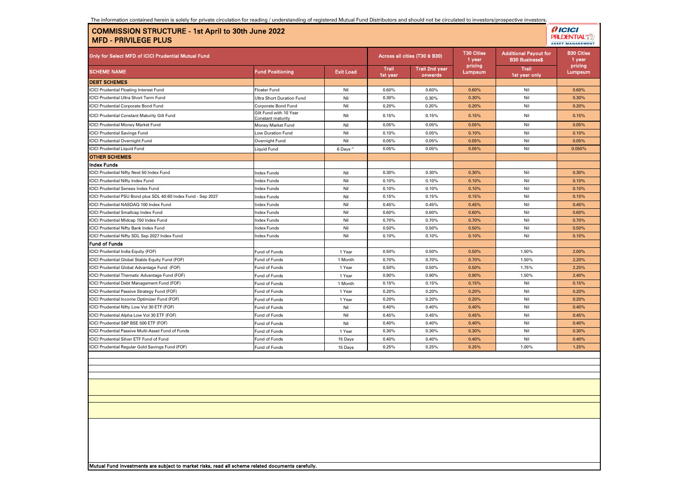The information contained herein is solely for private circulation for reading / understanding of registered Mutual Fund Distributors and should not be circulated to investors/prospective investors.

| <b>COMMISSION STRUCTURE - 1st April to 30th June 2022</b><br><b>MFD - PRIVILEGE PLUS</b> |                                             |                  |                   |                                  |                             |                                                       | <b>PRUDENTIAL**</b><br><b>ASSET MANAGEMENT</b> |
|------------------------------------------------------------------------------------------|---------------------------------------------|------------------|-------------------|----------------------------------|-----------------------------|-------------------------------------------------------|------------------------------------------------|
| Only for Select MFD of ICICI Prudential Mutual Fund                                      |                                             |                  |                   | Across all cities (T30 & B30)    | <b>T30 Cities</b><br>1 year | <b>Additional Payout for</b><br><b>B30 Business\$</b> | <b>B30 Cities</b><br>1 year<br>pricing         |
| <b>SCHEME NAME</b>                                                                       | <b>Fund Positioning</b>                     | <b>Exit Load</b> | Trail<br>1st year | <b>Trail 2nd year</b><br>onwards | pricing<br>Lumpsum          | <b>Trail</b><br>1st year only                         | Lumpsum                                        |
| <b>DEBT SCHEMES</b>                                                                      |                                             |                  |                   |                                  |                             |                                                       |                                                |
| <b>ICICI Prudential Floating Interest Fund</b>                                           | <b>Floater Fund</b>                         | Nil              | 0.60%             | 0.60%                            | 0.60%                       | Nil                                                   | 0.60%                                          |
| ICICI Prudential Ultra Short Term Fund                                                   | Ultra Short Duration Fund                   | Nil              | 0.30%             | 0.30%                            | 0.30%                       | Nil                                                   | 0.30%                                          |
| <b>ICICI Prudential Corporate Bond Fund</b>                                              | Corporate Bond Fund                         | Nil              | 0.20%             | 0.20%                            | 0.20%                       | Nil                                                   | 0.20%                                          |
| <b>ICICI Prudential Constant Maturity Gilt Fund</b>                                      | Gilt Fund with 10 Year<br>Constant maturity | Nil              | 0.15%             | 0.15%                            | 0.15%                       | Nil                                                   | 0.15%                                          |
| <b>ICICI Prudential Money Market Fund</b>                                                | Money Market Fund                           | Nil              | 0.05%             | 0.05%                            | 0.05%                       | Nil                                                   | 0.05%                                          |
| <b>ICICI Prudential Savings Fund</b>                                                     | Low Duration Fund                           | Nil              | 0.10%             | 0.05%                            | 0.10%                       | Nil                                                   | 0.10%                                          |
| <b>ICICI Prudential Overnight Fund</b>                                                   | Overnight Fund                              | Nil              | 0.05%             | 0.05%                            | 0.05%                       | Nil                                                   | 0.05%                                          |
| <b>ICICI Prudential Liquid Fund</b>                                                      | Liquid Fund                                 | 6 Days ^         | 0.05%             | 0.05%                            | 0.05%                       | Nil                                                   | 0.050%                                         |
| <b>OTHER SCHEMES</b>                                                                     |                                             |                  |                   |                                  |                             |                                                       |                                                |
| <b>Index Funds</b>                                                                       |                                             |                  |                   |                                  |                             |                                                       |                                                |
| CICI Prudential Nifty Next 50 Index Fund                                                 | ndex Funds                                  | Nil              | 0.30%             | 0.30%                            | 0.30%                       | Nil                                                   | 0.30%                                          |
| <b>ICICI Prudential Nifty Index Fund</b>                                                 | Index Funds                                 | Nil              | 0.10%             | 0.10%                            | 0.10%                       | Nil                                                   | 0.10%                                          |
| <b>ICICI Prudential Sensex Index Fund</b>                                                | Index Funds                                 | Nil              | 0.10%             | 0.10%                            | 0.10%                       | Nil                                                   | 0.10%                                          |
| CICI Prudential PSU Bond plus SDL 40:60 Index Fund - Sep 2027                            | ndex Funds                                  | Nil              | 0.15%             | 0.15%                            | 0.15%                       | Nil                                                   | 0.15%                                          |
| ICICI Prudential NASDAQ 100 Index Fund                                                   | ndex Funds                                  | Nil              | 0.45%             | 0.45%                            | 0.45%                       | Nil                                                   | 0.45%                                          |
| <b>ICICI Prudential Smallcap Index Fund</b>                                              | ndex Funds                                  | Nil              | 0.60%             | 0.60%                            | 0.60%                       | Nil                                                   | 0.60%                                          |
| <b>ICICI Prudential Midcap 150 Index Fund</b>                                            | ndex Funds                                  | Nil              | 0.70%             | 0.70%                            | 0.70%                       | Nil                                                   | 0.70%                                          |
| CICI Prudential Nifty Bank Index Fund                                                    | ndex Funds                                  | Nil              | 0.50%             | 0.50%                            | 0.50%                       | Nil                                                   | 0.50%                                          |
| CICI Prudential Nifty SDL Sep 2027 Index Fund                                            | ndex Funds                                  | Nil              | 0.10%             | 0.10%                            | 0.10%                       | Nil                                                   | 0.10%                                          |
| Fund of Funds                                                                            |                                             |                  |                   |                                  |                             |                                                       |                                                |
| CICI Prudential India Equity (FOF)                                                       | Fund of Funds                               | 1 Year           | 0.50%             | 0.50%                            | 0.50%                       | 1.50%                                                 | 2.00%                                          |
| <b>ICICI Prudential Global Stable Equity Fund (FOF)</b>                                  | Fund of Funds                               | 1 Month          | 0.70%             | 0.70%                            | 0.70%                       | 1.50%                                                 | 2.20%                                          |
| ICICI Prudential Global Advantage Fund (FOF)                                             | Fund of Funds                               | 1 Year           | 0.50%             | 0.50%                            | 0.50%                       | 1.75%                                                 | 2.25%                                          |
| CICI Prudential Thematic Advantage Fund (FOF)                                            | Fund of Funds                               | 1 Year           | 0.90%             | 0.90%                            | 0.90%                       | 1.50%                                                 | 2.40%                                          |
| CICI Prudential Debt Management Fund (FOF)                                               | Fund of Funds                               | 1 Month          | 0.15%             | 0.15%                            | 0.15%                       | Nil                                                   | 0.15%                                          |
| ICICI Prudential Passive Strategy Fund (FOF)                                             | Fund of Funds                               | 1 Year           | 0.20%             | 0.20%                            | 0.20%                       | Nil                                                   | 0.20%                                          |
| ICICI Prudential Income Optimizer Fund (FOF)                                             | Fund of Funds                               | 1 Year           | 0.20%             | 0.20%                            | 0.20%                       | Nil                                                   | 0.20%                                          |
| CICI Prudential Nifty Low Vol 30 ETF (FOF)                                               | Fund of Funds                               | Nil              | 0.40%             | 0.40%                            | 0.40%                       | Nil                                                   | 0.40%                                          |
| CICI Prudential Alpha Low Vol 30 ETF (FOF)                                               | Fund of Funds                               | Nil              | 0.45%             | 0.45%                            | 0.45%                       | Nil                                                   | 0.45%                                          |
| ICICI Prudential S&P BSE 500 ETF (FOF)                                                   | Fund of Funds                               | Nil              | 0.40%             | 0.40%                            | 0.40%                       | Nil                                                   | 0.40%                                          |
| ICICI Prudential Passive Multi-Asset Fund of Funds                                       | Fund of Funds                               | 1 Year           | 0.30%             | 0.30%                            | 0.30%                       | Nil                                                   | 0.30%                                          |
| <b>ICICI Prudential Silver ETF Fund of Fund</b>                                          | Fund of Funds                               | 15 Days          | 0.40%             | 0.40%                            | 0.40%                       | Nil                                                   | 0.40%                                          |
| CICI Prudential Regular Gold Savings Fund (FOF)                                          | Fund of Funds                               | 15 Days          | 0.25%             | 0.25%                            | 0.25%                       | 1.00%                                                 | 1.25%                                          |
|                                                                                          |                                             |                  |                   |                                  |                             |                                                       |                                                |
|                                                                                          |                                             |                  |                   |                                  |                             |                                                       |                                                |
|                                                                                          |                                             |                  |                   |                                  |                             |                                                       |                                                |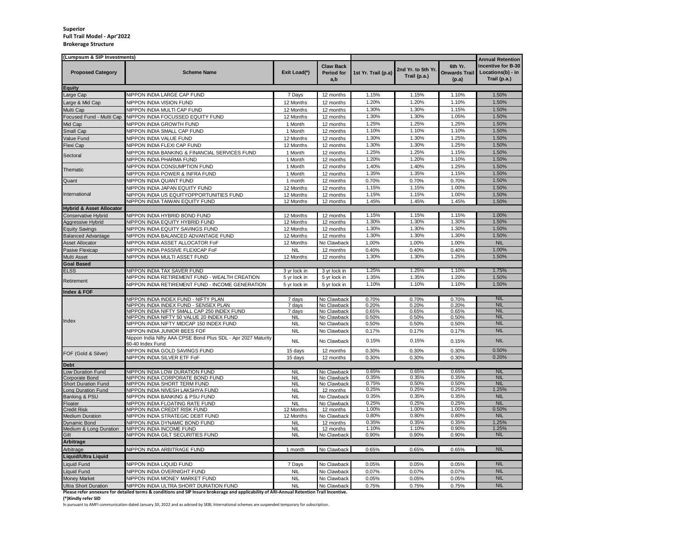#### **Superior Full Trail Model - Apr'2022 Brokerage Structure**

| <b>Incentive for B-30</b><br><b>Claw Back</b><br>6th Yr.<br>2nd Yr. to 5th Yr.<br>Locations(b) - in<br><b>Proposed Category</b><br><b>Scheme Name</b><br>Exit Load(*)<br><b>Onwards Trail</b><br><b>Period for</b><br>1st Yr. Trail (p.a)<br>Trail (p.a.)<br>Trail (p.a.)<br>a,b<br>(p.a)<br><b>NIPPON INDIA LARGE CAP FUND</b><br>1.15%<br>1.15%<br>1.10%<br>1.50%<br>7 Days<br>12 months<br>1.20%<br>1.20%<br>1.10%<br>1.50%<br><b>IPPON INDIA VISION FUND</b><br>12 Months<br>12 months<br>1.30%<br>1.30%<br>1.15%<br>1.50%<br><b>NIPPON INDIA MULTI CAP FUND</b><br>12 Months<br>12 months<br>1.30%<br>1.50%<br><b>NIPPON INDIA FOCUSSED EQUITY FUND</b><br>1.30%<br>1.05%<br>12 Months<br>12 months<br>1.25%<br>1.25%<br>1.25%<br>1.50%<br><b>NIPPON INDIA GROWTH FUND</b><br>1 Month<br>12 months<br>1.10%<br>1.10%<br>1.10%<br>1.50%<br><b>NIPPON INDIA SMALL CAP FUND</b><br>1 Month<br>12 months<br>1.30%<br>1.30%<br>1.25%<br>1.50%<br>Value Fund<br><b>IPPON INDIA VALUE FUND</b><br>12 Months<br>12 months<br>1.25%<br>1.50%<br>1.30%<br>1.30%<br>Flexi Cap<br><b>NIPPON INDIA FLEXI CAP FUND</b><br>12 Months<br>12 months<br>1.25%<br>1.25%<br>1.15%<br>1.50%<br><b>NIPPON INDIA BANKING &amp; FINANCIAL SERVICES FUND</b><br>1 Month<br>12 months<br>Sectoral<br>1 Month<br>1.20%<br>1.20%<br>1.10%<br>1.50%<br><b>IPPON INDIA PHARMA FUND</b><br>12 months<br>1.40%<br>1.25%<br>1.50%<br>1.40%<br><b>NIPPON INDIA CONSUMPTION FUND</b><br>1 Month<br>12 months<br>Thematic<br>1.35%<br>1.35%<br>1.15%<br>1.50%<br><b>IPPON INDIA POWER &amp; INFRA FUND</b><br>1 Month<br>12 months<br>1.50%<br>0.70%<br>0.70%<br><b>IPPON INDIA QUANT FUND</b><br>0.70%<br>Quant<br>1 month<br>12 months<br>1.15%<br>1.15%<br>1.00%<br>1.50%<br><b>NIPPON INDIA JAPAN EQUITY FUND</b><br>12 Months<br>12 months<br>nternational<br>1.15%<br>1.15%<br>1.00%<br>1.50%<br><b>NIPPON INDIA US EQUITYOPPORTUNITIES FUND</b><br>12 Months<br>12 months<br>1.45%<br>1.50%<br>1.45%<br>1.45%<br><b>IPPON INDIA TAIWAN EQUITY FUND</b><br>12 Months<br>12 months<br><b>Hybrid &amp; Asset Allocator</b><br>1.00%<br>1.15%<br>1.15%<br>1.15%<br>Conservative Hybrid<br>NIPPON INDIA HYBRID BOND FUND<br>12 Months<br>12 months<br>1.30%<br>1.30%<br>1.50%<br>1.30%<br>Aggressive Hybrid<br><b>NIPPON INDIA EQUITY HYBRID FUND</b><br>12 Months<br>12 months<br><b>NIPPON INDIA EQUITY SAVINGS FUND</b><br>1.30%<br>1.30%<br>1.30%<br>1.50%<br><b>Equity Savings</b><br>12 Months<br>12 months<br>1.30%<br>1.30%<br>1.30%<br>1.50%<br><b>Balanced Advantage</b><br><b>NIPPON INDIA BALANCED ADVANTAGE FUND</b><br>12 Months<br>12 months<br><b>NIL</b><br><b>Asset Allocator</b><br><b>IPPON INDIA ASSET ALLOCATOR FoF</b><br>12 Months<br>No Clawback<br>1.00%<br>1.00%<br>1.00%<br>1.00%<br>Pasive Flexicap<br><b>NIPPON INDIA PASSIVE FLEXICAP FoF</b><br><b>NIL</b><br>12 months<br>0.40%<br>0.40%<br>0.40%<br>1.30%<br>1.30%<br>1.25%<br>1.50%<br><b>NIPPON INDIA MULTI ASSET FUND</b><br>Multi Asset<br>12 Months<br>12 months<br><b>Goal Based</b><br>1.25%<br>1.75%<br><b>NIPPON INDIA TAX SAVER FUND</b><br>1.25%<br>1.10%<br><b>ELSS</b><br>3 yr lock in<br>3 yr lock in<br>1.20%<br>1.50%<br>1.35%<br>1.35%<br>NIPPON INDIA RETIREMENT FUND - WEALTH CREATION<br>5 yr lock in<br>5 yr lock in<br>1.10%<br>1.10%<br>1.10%<br>1.50%<br>NIPPON INDIA RETIREMENT FUND - INCOME GENERATION<br>5 yr lock in<br>5 yr lock in<br>Index & FOF<br><b>NIL</b><br><b>NIPPON INDIA INDEX FUND - NIFTY PLAN</b><br>7 days<br>No Clawback<br>0.70%<br>0.70%<br>0.70%<br><b>NIL</b><br><b>NIPPON INDIA INDEX FUND - SENSEX PLAN</b><br>0.20%<br>0.20%<br>0.20%<br>7 days<br>No Clawback<br><b>NIL</b><br><b>NIPPON INDIA NIFTY SMALL CAP 250 INDEX FUND</b><br>0.65%<br>0.65%<br>0.65%<br>7 days<br>No Clawbacl<br><b>NIL</b><br><b>NIPPON INDIA NIFTY 50 VALUE 20 INDEX FUND</b><br>0.50%<br><b>NIL</b><br>No Clawback<br>0.50%<br>0.50%<br>Index<br><b>NIL</b><br><b>NIPPON INDIA NIFTY MIDCAP 150 INDEX FUND</b><br><b>NIL</b><br>No Clawback<br>0.50%<br>0.50%<br>0.50%<br><b>NIL</b><br><b>NIPPON INDIA JUNIOR BEES FOF</b><br><b>NIL</b><br>No Clawback<br>0.17%<br>0.17%<br>0.17%<br>Vippon India Nifty AAA CPSE Bond Plus SDL - Apr 2027 Maturity<br><b>NIL</b><br>0.15%<br>0.15%<br><b>NIL</b><br>No Clawback<br>0.15%<br>60-40 Index Fund<br>0.50%<br>NIPPON INDIA GOLD SAVINGS FUND<br>15 days<br>12 months<br>0.30%<br>0.30%<br>0.30%<br>FOF (Gold & Silver)<br>0.20%<br><b>NIPPON INDIA SILVER ETF FoF</b><br>15 days<br>12 months<br>0.30%<br>0.30%<br>0.30%<br>0.65%<br><b>IPPON INDIA LOW DURATION FUND</b><br>No Clawback<br>0.65%<br>0.65%<br>NIL.<br><b>NII</b><br><b>NIPPON INDIA CORPORATE BOND FUND</b><br>0.35%<br>0.35%<br>0.35%<br><b>NIL</b><br><b>NIL</b><br>No Clawback<br>0.75%<br>0.50%<br>0.50%<br><b>NIL</b><br><b>IPPON INDIA SHORT TERM FUND</b><br><b>NIL</b><br>No Clawback<br><b>Short Duration Fund</b><br>0.25%<br>0.25%<br>0.25%<br>1.25%<br><b>NIL</b><br><b>IPPON INDIA NIVESH LAKSHYA FUND</b><br>Long Duration Fund<br>12 months<br>0.35%<br>0.35%<br>0.35%<br><b>NIL</b><br><b>NIL</b><br>Banking & PSU<br>NIPPON INDIA BANKING & PSU FUND<br>No Clawback<br>0.25%<br>0.25%<br>0.25%<br><b>NIL</b><br><b>NIPPON INDIA FLOATING RATE FUND</b><br><b>NIL</b><br>Floater<br>No Clawback<br>0.50%<br>1.00%<br>1.00%<br>1.00%<br><b>Credit Risk</b><br><b>IPPON INDIA CREDIT RISK FUND</b><br>12 Months<br>12 months<br>0.80%<br>0.80%<br>0.80%<br><b>NIL</b><br><b>Medium Duration</b><br><b>NIPPON INDIA STRATEGIC DEBT FUND</b><br>12 Months<br>No Clawback<br>0.35%<br>0.35%<br>0.35%<br>1.25%<br><b>Dynamic Bond</b><br><b>IPPON INDIA DYNAMIC BOND FUND</b><br>NI<br>12 months<br>1.10%<br>1.25%<br>1.10%<br>0.90%<br>Medium & Long Duration<br>NIPPON INDIA INCOME FUND<br><b>NIL</b><br>12 months<br>0.90%<br>0.90%<br>0.90%<br><b>NIL</b><br>NIPPON INDIA GILT SECURITIES FUND<br><b>NIL</b><br>No Clawback<br>Arbitrage<br><b>NIL</b><br>Arbitrage<br>NIPPON INDIA ARBITRAGE FUND<br>1 month<br>No Clawback<br>0.65%<br>0.65%<br>0.65%<br><b>Liquid/Ultra Liquid</b><br>Liquid Fund<br><b>NIPPON INDIA LIQUID FUND</b><br>7 Davs<br>No Clawback<br>0.05%<br>0.05%<br><b>NIL</b><br>0.05%<br><b>NIL</b><br><b>NIPPON INDIA OVERNIGHT FUND</b><br>0.07%<br>Liquid Fund<br><b>NIL</b><br>No Clawback<br>0.07%<br>0.07%<br><b>NIL</b><br><b>Monev Market</b><br><b>NIPPON INDIA MONEY MARKET FUND</b><br><b>NIL</b><br>No Clawback<br>0.05%<br>0.05%<br>0.05%<br><b>NIL</b><br>NIPPON INDIA ULTRA SHORT DURATION FUND<br><b>NIL</b><br><b>Ultra Short Duration</b><br>No Clawback<br>0.75%<br>0.75%<br>0.75% | (Lumpsum & SIP Investments) |                |               |  | <b>Annual Retention</b> |
|---------------------------------------------------------------------------------------------------------------------------------------------------------------------------------------------------------------------------------------------------------------------------------------------------------------------------------------------------------------------------------------------------------------------------------------------------------------------------------------------------------------------------------------------------------------------------------------------------------------------------------------------------------------------------------------------------------------------------------------------------------------------------------------------------------------------------------------------------------------------------------------------------------------------------------------------------------------------------------------------------------------------------------------------------------------------------------------------------------------------------------------------------------------------------------------------------------------------------------------------------------------------------------------------------------------------------------------------------------------------------------------------------------------------------------------------------------------------------------------------------------------------------------------------------------------------------------------------------------------------------------------------------------------------------------------------------------------------------------------------------------------------------------------------------------------------------------------------------------------------------------------------------------------------------------------------------------------------------------------------------------------------------------------------------------------------------------------------------------------------------------------------------------------------------------------------------------------------------------------------------------------------------------------------------------------------------------------------------------------------------------------------------------------------------------------------------------------------------------------------------------------------------------------------------------------------------------------------------------------------------------------------------------------------------------------------------------------------------------------------------------------------------------------------------------------------------------------------------------------------------------------------------------------------------------------------------------------------------------------------------------------------------------------------------------------------------------------------------------------------------------------------------------------------------------------------------------------------------------------------------------------------------------------------------------------------------------------------------------------------------------------------------------------------------------------------------------------------------------------------------------------------------------------------------------------------------------------------------------------------------------------------------------------------------------------------------------------------------------------------------------------------------------------------------------------------------------------------------------------------------------------------------------------------------------------------------------------------------------------------------------------------------------------------------------------------------------------------------------------------------------------------------------------------------------------------------------------------------------------------------------------------------------------------------------------------------------------------------------------------------------------------------------------------------------------------------------------------------------------------------------------------------------------------------------------------------------------------------------------------------------------------------------------------------------------------------------------------------------------------------------------------------------------------------------------------------------------------------------------------------------------------------------------------------------------------------------------------------------------------------------------------------------------------------------------------------------------------------------------------------------------------------------------------------------------------------------------------------------------------------------------------------------------------------------------------------------------------------------------------------------------------------------------------------------------------------------------------------------------------------------------------------------------------------------------------------------------------------------------------------------------------------------------------------------------------------------------------------------------------------------------------------------------------------------------------------------------------------------------------------------------------------------------------------------------------------------------------------------------------------------------------------------------------------------------------------------------------------------------------------------------------------------------------------------------------------------------------------------------------------------------------------------------------------------------------------------------------------------------------------------------------------------------------------------------------------------------------------------------------------------------------------------------------------------------------------------------------------------------------------------------------|-----------------------------|----------------|---------------|--|-------------------------|
|                                                                                                                                                                                                                                                                                                                                                                                                                                                                                                                                                                                                                                                                                                                                                                                                                                                                                                                                                                                                                                                                                                                                                                                                                                                                                                                                                                                                                                                                                                                                                                                                                                                                                                                                                                                                                                                                                                                                                                                                                                                                                                                                                                                                                                                                                                                                                                                                                                                                                                                                                                                                                                                                                                                                                                                                                                                                                                                                                                                                                                                                                                                                                                                                                                                                                                                                                                                                                                                                                                                                                                                                                                                                                                                                                                                                                                                                                                                                                                                                                                                                                                                                                                                                                                                                                                                                                                                                                                                                                                                                                                                                                                                                                                                                                                                                                                                                                                                                                                                                                                                                                                                                                                                                                                                                                                                                                                                                                                                                                                                                                                                                                                                                                                                                                                                                                                                                                                                                                                                                                                                                                                                                                                                                                                                                                                                                                                                                                                                                                                                                                                                                                                             |                             |                |               |  |                         |
|                                                                                                                                                                                                                                                                                                                                                                                                                                                                                                                                                                                                                                                                                                                                                                                                                                                                                                                                                                                                                                                                                                                                                                                                                                                                                                                                                                                                                                                                                                                                                                                                                                                                                                                                                                                                                                                                                                                                                                                                                                                                                                                                                                                                                                                                                                                                                                                                                                                                                                                                                                                                                                                                                                                                                                                                                                                                                                                                                                                                                                                                                                                                                                                                                                                                                                                                                                                                                                                                                                                                                                                                                                                                                                                                                                                                                                                                                                                                                                                                                                                                                                                                                                                                                                                                                                                                                                                                                                                                                                                                                                                                                                                                                                                                                                                                                                                                                                                                                                                                                                                                                                                                                                                                                                                                                                                                                                                                                                                                                                                                                                                                                                                                                                                                                                                                                                                                                                                                                                                                                                                                                                                                                                                                                                                                                                                                                                                                                                                                                                                                                                                                                                             | <b>Equity</b>               |                |               |  |                         |
|                                                                                                                                                                                                                                                                                                                                                                                                                                                                                                                                                                                                                                                                                                                                                                                                                                                                                                                                                                                                                                                                                                                                                                                                                                                                                                                                                                                                                                                                                                                                                                                                                                                                                                                                                                                                                                                                                                                                                                                                                                                                                                                                                                                                                                                                                                                                                                                                                                                                                                                                                                                                                                                                                                                                                                                                                                                                                                                                                                                                                                                                                                                                                                                                                                                                                                                                                                                                                                                                                                                                                                                                                                                                                                                                                                                                                                                                                                                                                                                                                                                                                                                                                                                                                                                                                                                                                                                                                                                                                                                                                                                                                                                                                                                                                                                                                                                                                                                                                                                                                                                                                                                                                                                                                                                                                                                                                                                                                                                                                                                                                                                                                                                                                                                                                                                                                                                                                                                                                                                                                                                                                                                                                                                                                                                                                                                                                                                                                                                                                                                                                                                                                                             | arge Cap                    |                |               |  |                         |
|                                                                                                                                                                                                                                                                                                                                                                                                                                                                                                                                                                                                                                                                                                                                                                                                                                                                                                                                                                                                                                                                                                                                                                                                                                                                                                                                                                                                                                                                                                                                                                                                                                                                                                                                                                                                                                                                                                                                                                                                                                                                                                                                                                                                                                                                                                                                                                                                                                                                                                                                                                                                                                                                                                                                                                                                                                                                                                                                                                                                                                                                                                                                                                                                                                                                                                                                                                                                                                                                                                                                                                                                                                                                                                                                                                                                                                                                                                                                                                                                                                                                                                                                                                                                                                                                                                                                                                                                                                                                                                                                                                                                                                                                                                                                                                                                                                                                                                                                                                                                                                                                                                                                                                                                                                                                                                                                                                                                                                                                                                                                                                                                                                                                                                                                                                                                                                                                                                                                                                                                                                                                                                                                                                                                                                                                                                                                                                                                                                                                                                                                                                                                                                             | Large & Mid Cap             |                |               |  |                         |
|                                                                                                                                                                                                                                                                                                                                                                                                                                                                                                                                                                                                                                                                                                                                                                                                                                                                                                                                                                                                                                                                                                                                                                                                                                                                                                                                                                                                                                                                                                                                                                                                                                                                                                                                                                                                                                                                                                                                                                                                                                                                                                                                                                                                                                                                                                                                                                                                                                                                                                                                                                                                                                                                                                                                                                                                                                                                                                                                                                                                                                                                                                                                                                                                                                                                                                                                                                                                                                                                                                                                                                                                                                                                                                                                                                                                                                                                                                                                                                                                                                                                                                                                                                                                                                                                                                                                                                                                                                                                                                                                                                                                                                                                                                                                                                                                                                                                                                                                                                                                                                                                                                                                                                                                                                                                                                                                                                                                                                                                                                                                                                                                                                                                                                                                                                                                                                                                                                                                                                                                                                                                                                                                                                                                                                                                                                                                                                                                                                                                                                                                                                                                                                             | Multi Cap                   |                |               |  |                         |
|                                                                                                                                                                                                                                                                                                                                                                                                                                                                                                                                                                                                                                                                                                                                                                                                                                                                                                                                                                                                                                                                                                                                                                                                                                                                                                                                                                                                                                                                                                                                                                                                                                                                                                                                                                                                                                                                                                                                                                                                                                                                                                                                                                                                                                                                                                                                                                                                                                                                                                                                                                                                                                                                                                                                                                                                                                                                                                                                                                                                                                                                                                                                                                                                                                                                                                                                                                                                                                                                                                                                                                                                                                                                                                                                                                                                                                                                                                                                                                                                                                                                                                                                                                                                                                                                                                                                                                                                                                                                                                                                                                                                                                                                                                                                                                                                                                                                                                                                                                                                                                                                                                                                                                                                                                                                                                                                                                                                                                                                                                                                                                                                                                                                                                                                                                                                                                                                                                                                                                                                                                                                                                                                                                                                                                                                                                                                                                                                                                                                                                                                                                                                                                             | Focused Fund - Multi Cap    |                |               |  |                         |
|                                                                                                                                                                                                                                                                                                                                                                                                                                                                                                                                                                                                                                                                                                                                                                                                                                                                                                                                                                                                                                                                                                                                                                                                                                                                                                                                                                                                                                                                                                                                                                                                                                                                                                                                                                                                                                                                                                                                                                                                                                                                                                                                                                                                                                                                                                                                                                                                                                                                                                                                                                                                                                                                                                                                                                                                                                                                                                                                                                                                                                                                                                                                                                                                                                                                                                                                                                                                                                                                                                                                                                                                                                                                                                                                                                                                                                                                                                                                                                                                                                                                                                                                                                                                                                                                                                                                                                                                                                                                                                                                                                                                                                                                                                                                                                                                                                                                                                                                                                                                                                                                                                                                                                                                                                                                                                                                                                                                                                                                                                                                                                                                                                                                                                                                                                                                                                                                                                                                                                                                                                                                                                                                                                                                                                                                                                                                                                                                                                                                                                                                                                                                                                             | Mid Cap                     |                |               |  |                         |
|                                                                                                                                                                                                                                                                                                                                                                                                                                                                                                                                                                                                                                                                                                                                                                                                                                                                                                                                                                                                                                                                                                                                                                                                                                                                                                                                                                                                                                                                                                                                                                                                                                                                                                                                                                                                                                                                                                                                                                                                                                                                                                                                                                                                                                                                                                                                                                                                                                                                                                                                                                                                                                                                                                                                                                                                                                                                                                                                                                                                                                                                                                                                                                                                                                                                                                                                                                                                                                                                                                                                                                                                                                                                                                                                                                                                                                                                                                                                                                                                                                                                                                                                                                                                                                                                                                                                                                                                                                                                                                                                                                                                                                                                                                                                                                                                                                                                                                                                                                                                                                                                                                                                                                                                                                                                                                                                                                                                                                                                                                                                                                                                                                                                                                                                                                                                                                                                                                                                                                                                                                                                                                                                                                                                                                                                                                                                                                                                                                                                                                                                                                                                                                             | Small Cap                   |                |               |  |                         |
|                                                                                                                                                                                                                                                                                                                                                                                                                                                                                                                                                                                                                                                                                                                                                                                                                                                                                                                                                                                                                                                                                                                                                                                                                                                                                                                                                                                                                                                                                                                                                                                                                                                                                                                                                                                                                                                                                                                                                                                                                                                                                                                                                                                                                                                                                                                                                                                                                                                                                                                                                                                                                                                                                                                                                                                                                                                                                                                                                                                                                                                                                                                                                                                                                                                                                                                                                                                                                                                                                                                                                                                                                                                                                                                                                                                                                                                                                                                                                                                                                                                                                                                                                                                                                                                                                                                                                                                                                                                                                                                                                                                                                                                                                                                                                                                                                                                                                                                                                                                                                                                                                                                                                                                                                                                                                                                                                                                                                                                                                                                                                                                                                                                                                                                                                                                                                                                                                                                                                                                                                                                                                                                                                                                                                                                                                                                                                                                                                                                                                                                                                                                                                                             |                             |                |               |  |                         |
|                                                                                                                                                                                                                                                                                                                                                                                                                                                                                                                                                                                                                                                                                                                                                                                                                                                                                                                                                                                                                                                                                                                                                                                                                                                                                                                                                                                                                                                                                                                                                                                                                                                                                                                                                                                                                                                                                                                                                                                                                                                                                                                                                                                                                                                                                                                                                                                                                                                                                                                                                                                                                                                                                                                                                                                                                                                                                                                                                                                                                                                                                                                                                                                                                                                                                                                                                                                                                                                                                                                                                                                                                                                                                                                                                                                                                                                                                                                                                                                                                                                                                                                                                                                                                                                                                                                                                                                                                                                                                                                                                                                                                                                                                                                                                                                                                                                                                                                                                                                                                                                                                                                                                                                                                                                                                                                                                                                                                                                                                                                                                                                                                                                                                                                                                                                                                                                                                                                                                                                                                                                                                                                                                                                                                                                                                                                                                                                                                                                                                                                                                                                                                                             |                             |                |               |  |                         |
|                                                                                                                                                                                                                                                                                                                                                                                                                                                                                                                                                                                                                                                                                                                                                                                                                                                                                                                                                                                                                                                                                                                                                                                                                                                                                                                                                                                                                                                                                                                                                                                                                                                                                                                                                                                                                                                                                                                                                                                                                                                                                                                                                                                                                                                                                                                                                                                                                                                                                                                                                                                                                                                                                                                                                                                                                                                                                                                                                                                                                                                                                                                                                                                                                                                                                                                                                                                                                                                                                                                                                                                                                                                                                                                                                                                                                                                                                                                                                                                                                                                                                                                                                                                                                                                                                                                                                                                                                                                                                                                                                                                                                                                                                                                                                                                                                                                                                                                                                                                                                                                                                                                                                                                                                                                                                                                                                                                                                                                                                                                                                                                                                                                                                                                                                                                                                                                                                                                                                                                                                                                                                                                                                                                                                                                                                                                                                                                                                                                                                                                                                                                                                                             |                             |                |               |  |                         |
|                                                                                                                                                                                                                                                                                                                                                                                                                                                                                                                                                                                                                                                                                                                                                                                                                                                                                                                                                                                                                                                                                                                                                                                                                                                                                                                                                                                                                                                                                                                                                                                                                                                                                                                                                                                                                                                                                                                                                                                                                                                                                                                                                                                                                                                                                                                                                                                                                                                                                                                                                                                                                                                                                                                                                                                                                                                                                                                                                                                                                                                                                                                                                                                                                                                                                                                                                                                                                                                                                                                                                                                                                                                                                                                                                                                                                                                                                                                                                                                                                                                                                                                                                                                                                                                                                                                                                                                                                                                                                                                                                                                                                                                                                                                                                                                                                                                                                                                                                                                                                                                                                                                                                                                                                                                                                                                                                                                                                                                                                                                                                                                                                                                                                                                                                                                                                                                                                                                                                                                                                                                                                                                                                                                                                                                                                                                                                                                                                                                                                                                                                                                                                                             |                             |                |               |  |                         |
|                                                                                                                                                                                                                                                                                                                                                                                                                                                                                                                                                                                                                                                                                                                                                                                                                                                                                                                                                                                                                                                                                                                                                                                                                                                                                                                                                                                                                                                                                                                                                                                                                                                                                                                                                                                                                                                                                                                                                                                                                                                                                                                                                                                                                                                                                                                                                                                                                                                                                                                                                                                                                                                                                                                                                                                                                                                                                                                                                                                                                                                                                                                                                                                                                                                                                                                                                                                                                                                                                                                                                                                                                                                                                                                                                                                                                                                                                                                                                                                                                                                                                                                                                                                                                                                                                                                                                                                                                                                                                                                                                                                                                                                                                                                                                                                                                                                                                                                                                                                                                                                                                                                                                                                                                                                                                                                                                                                                                                                                                                                                                                                                                                                                                                                                                                                                                                                                                                                                                                                                                                                                                                                                                                                                                                                                                                                                                                                                                                                                                                                                                                                                                                             |                             |                |               |  |                         |
|                                                                                                                                                                                                                                                                                                                                                                                                                                                                                                                                                                                                                                                                                                                                                                                                                                                                                                                                                                                                                                                                                                                                                                                                                                                                                                                                                                                                                                                                                                                                                                                                                                                                                                                                                                                                                                                                                                                                                                                                                                                                                                                                                                                                                                                                                                                                                                                                                                                                                                                                                                                                                                                                                                                                                                                                                                                                                                                                                                                                                                                                                                                                                                                                                                                                                                                                                                                                                                                                                                                                                                                                                                                                                                                                                                                                                                                                                                                                                                                                                                                                                                                                                                                                                                                                                                                                                                                                                                                                                                                                                                                                                                                                                                                                                                                                                                                                                                                                                                                                                                                                                                                                                                                                                                                                                                                                                                                                                                                                                                                                                                                                                                                                                                                                                                                                                                                                                                                                                                                                                                                                                                                                                                                                                                                                                                                                                                                                                                                                                                                                                                                                                                             |                             |                |               |  |                         |
|                                                                                                                                                                                                                                                                                                                                                                                                                                                                                                                                                                                                                                                                                                                                                                                                                                                                                                                                                                                                                                                                                                                                                                                                                                                                                                                                                                                                                                                                                                                                                                                                                                                                                                                                                                                                                                                                                                                                                                                                                                                                                                                                                                                                                                                                                                                                                                                                                                                                                                                                                                                                                                                                                                                                                                                                                                                                                                                                                                                                                                                                                                                                                                                                                                                                                                                                                                                                                                                                                                                                                                                                                                                                                                                                                                                                                                                                                                                                                                                                                                                                                                                                                                                                                                                                                                                                                                                                                                                                                                                                                                                                                                                                                                                                                                                                                                                                                                                                                                                                                                                                                                                                                                                                                                                                                                                                                                                                                                                                                                                                                                                                                                                                                                                                                                                                                                                                                                                                                                                                                                                                                                                                                                                                                                                                                                                                                                                                                                                                                                                                                                                                                                             |                             |                |               |  |                         |
|                                                                                                                                                                                                                                                                                                                                                                                                                                                                                                                                                                                                                                                                                                                                                                                                                                                                                                                                                                                                                                                                                                                                                                                                                                                                                                                                                                                                                                                                                                                                                                                                                                                                                                                                                                                                                                                                                                                                                                                                                                                                                                                                                                                                                                                                                                                                                                                                                                                                                                                                                                                                                                                                                                                                                                                                                                                                                                                                                                                                                                                                                                                                                                                                                                                                                                                                                                                                                                                                                                                                                                                                                                                                                                                                                                                                                                                                                                                                                                                                                                                                                                                                                                                                                                                                                                                                                                                                                                                                                                                                                                                                                                                                                                                                                                                                                                                                                                                                                                                                                                                                                                                                                                                                                                                                                                                                                                                                                                                                                                                                                                                                                                                                                                                                                                                                                                                                                                                                                                                                                                                                                                                                                                                                                                                                                                                                                                                                                                                                                                                                                                                                                                             |                             |                |               |  |                         |
|                                                                                                                                                                                                                                                                                                                                                                                                                                                                                                                                                                                                                                                                                                                                                                                                                                                                                                                                                                                                                                                                                                                                                                                                                                                                                                                                                                                                                                                                                                                                                                                                                                                                                                                                                                                                                                                                                                                                                                                                                                                                                                                                                                                                                                                                                                                                                                                                                                                                                                                                                                                                                                                                                                                                                                                                                                                                                                                                                                                                                                                                                                                                                                                                                                                                                                                                                                                                                                                                                                                                                                                                                                                                                                                                                                                                                                                                                                                                                                                                                                                                                                                                                                                                                                                                                                                                                                                                                                                                                                                                                                                                                                                                                                                                                                                                                                                                                                                                                                                                                                                                                                                                                                                                                                                                                                                                                                                                                                                                                                                                                                                                                                                                                                                                                                                                                                                                                                                                                                                                                                                                                                                                                                                                                                                                                                                                                                                                                                                                                                                                                                                                                                             |                             |                |               |  |                         |
|                                                                                                                                                                                                                                                                                                                                                                                                                                                                                                                                                                                                                                                                                                                                                                                                                                                                                                                                                                                                                                                                                                                                                                                                                                                                                                                                                                                                                                                                                                                                                                                                                                                                                                                                                                                                                                                                                                                                                                                                                                                                                                                                                                                                                                                                                                                                                                                                                                                                                                                                                                                                                                                                                                                                                                                                                                                                                                                                                                                                                                                                                                                                                                                                                                                                                                                                                                                                                                                                                                                                                                                                                                                                                                                                                                                                                                                                                                                                                                                                                                                                                                                                                                                                                                                                                                                                                                                                                                                                                                                                                                                                                                                                                                                                                                                                                                                                                                                                                                                                                                                                                                                                                                                                                                                                                                                                                                                                                                                                                                                                                                                                                                                                                                                                                                                                                                                                                                                                                                                                                                                                                                                                                                                                                                                                                                                                                                                                                                                                                                                                                                                                                                             |                             |                |               |  |                         |
|                                                                                                                                                                                                                                                                                                                                                                                                                                                                                                                                                                                                                                                                                                                                                                                                                                                                                                                                                                                                                                                                                                                                                                                                                                                                                                                                                                                                                                                                                                                                                                                                                                                                                                                                                                                                                                                                                                                                                                                                                                                                                                                                                                                                                                                                                                                                                                                                                                                                                                                                                                                                                                                                                                                                                                                                                                                                                                                                                                                                                                                                                                                                                                                                                                                                                                                                                                                                                                                                                                                                                                                                                                                                                                                                                                                                                                                                                                                                                                                                                                                                                                                                                                                                                                                                                                                                                                                                                                                                                                                                                                                                                                                                                                                                                                                                                                                                                                                                                                                                                                                                                                                                                                                                                                                                                                                                                                                                                                                                                                                                                                                                                                                                                                                                                                                                                                                                                                                                                                                                                                                                                                                                                                                                                                                                                                                                                                                                                                                                                                                                                                                                                                             |                             |                |               |  |                         |
|                                                                                                                                                                                                                                                                                                                                                                                                                                                                                                                                                                                                                                                                                                                                                                                                                                                                                                                                                                                                                                                                                                                                                                                                                                                                                                                                                                                                                                                                                                                                                                                                                                                                                                                                                                                                                                                                                                                                                                                                                                                                                                                                                                                                                                                                                                                                                                                                                                                                                                                                                                                                                                                                                                                                                                                                                                                                                                                                                                                                                                                                                                                                                                                                                                                                                                                                                                                                                                                                                                                                                                                                                                                                                                                                                                                                                                                                                                                                                                                                                                                                                                                                                                                                                                                                                                                                                                                                                                                                                                                                                                                                                                                                                                                                                                                                                                                                                                                                                                                                                                                                                                                                                                                                                                                                                                                                                                                                                                                                                                                                                                                                                                                                                                                                                                                                                                                                                                                                                                                                                                                                                                                                                                                                                                                                                                                                                                                                                                                                                                                                                                                                                                             |                             |                |               |  |                         |
|                                                                                                                                                                                                                                                                                                                                                                                                                                                                                                                                                                                                                                                                                                                                                                                                                                                                                                                                                                                                                                                                                                                                                                                                                                                                                                                                                                                                                                                                                                                                                                                                                                                                                                                                                                                                                                                                                                                                                                                                                                                                                                                                                                                                                                                                                                                                                                                                                                                                                                                                                                                                                                                                                                                                                                                                                                                                                                                                                                                                                                                                                                                                                                                                                                                                                                                                                                                                                                                                                                                                                                                                                                                                                                                                                                                                                                                                                                                                                                                                                                                                                                                                                                                                                                                                                                                                                                                                                                                                                                                                                                                                                                                                                                                                                                                                                                                                                                                                                                                                                                                                                                                                                                                                                                                                                                                                                                                                                                                                                                                                                                                                                                                                                                                                                                                                                                                                                                                                                                                                                                                                                                                                                                                                                                                                                                                                                                                                                                                                                                                                                                                                                                             |                             |                |               |  |                         |
|                                                                                                                                                                                                                                                                                                                                                                                                                                                                                                                                                                                                                                                                                                                                                                                                                                                                                                                                                                                                                                                                                                                                                                                                                                                                                                                                                                                                                                                                                                                                                                                                                                                                                                                                                                                                                                                                                                                                                                                                                                                                                                                                                                                                                                                                                                                                                                                                                                                                                                                                                                                                                                                                                                                                                                                                                                                                                                                                                                                                                                                                                                                                                                                                                                                                                                                                                                                                                                                                                                                                                                                                                                                                                                                                                                                                                                                                                                                                                                                                                                                                                                                                                                                                                                                                                                                                                                                                                                                                                                                                                                                                                                                                                                                                                                                                                                                                                                                                                                                                                                                                                                                                                                                                                                                                                                                                                                                                                                                                                                                                                                                                                                                                                                                                                                                                                                                                                                                                                                                                                                                                                                                                                                                                                                                                                                                                                                                                                                                                                                                                                                                                                                             |                             |                |               |  |                         |
|                                                                                                                                                                                                                                                                                                                                                                                                                                                                                                                                                                                                                                                                                                                                                                                                                                                                                                                                                                                                                                                                                                                                                                                                                                                                                                                                                                                                                                                                                                                                                                                                                                                                                                                                                                                                                                                                                                                                                                                                                                                                                                                                                                                                                                                                                                                                                                                                                                                                                                                                                                                                                                                                                                                                                                                                                                                                                                                                                                                                                                                                                                                                                                                                                                                                                                                                                                                                                                                                                                                                                                                                                                                                                                                                                                                                                                                                                                                                                                                                                                                                                                                                                                                                                                                                                                                                                                                                                                                                                                                                                                                                                                                                                                                                                                                                                                                                                                                                                                                                                                                                                                                                                                                                                                                                                                                                                                                                                                                                                                                                                                                                                                                                                                                                                                                                                                                                                                                                                                                                                                                                                                                                                                                                                                                                                                                                                                                                                                                                                                                                                                                                                                             |                             |                |               |  |                         |
|                                                                                                                                                                                                                                                                                                                                                                                                                                                                                                                                                                                                                                                                                                                                                                                                                                                                                                                                                                                                                                                                                                                                                                                                                                                                                                                                                                                                                                                                                                                                                                                                                                                                                                                                                                                                                                                                                                                                                                                                                                                                                                                                                                                                                                                                                                                                                                                                                                                                                                                                                                                                                                                                                                                                                                                                                                                                                                                                                                                                                                                                                                                                                                                                                                                                                                                                                                                                                                                                                                                                                                                                                                                                                                                                                                                                                                                                                                                                                                                                                                                                                                                                                                                                                                                                                                                                                                                                                                                                                                                                                                                                                                                                                                                                                                                                                                                                                                                                                                                                                                                                                                                                                                                                                                                                                                                                                                                                                                                                                                                                                                                                                                                                                                                                                                                                                                                                                                                                                                                                                                                                                                                                                                                                                                                                                                                                                                                                                                                                                                                                                                                                                                             |                             |                |               |  |                         |
|                                                                                                                                                                                                                                                                                                                                                                                                                                                                                                                                                                                                                                                                                                                                                                                                                                                                                                                                                                                                                                                                                                                                                                                                                                                                                                                                                                                                                                                                                                                                                                                                                                                                                                                                                                                                                                                                                                                                                                                                                                                                                                                                                                                                                                                                                                                                                                                                                                                                                                                                                                                                                                                                                                                                                                                                                                                                                                                                                                                                                                                                                                                                                                                                                                                                                                                                                                                                                                                                                                                                                                                                                                                                                                                                                                                                                                                                                                                                                                                                                                                                                                                                                                                                                                                                                                                                                                                                                                                                                                                                                                                                                                                                                                                                                                                                                                                                                                                                                                                                                                                                                                                                                                                                                                                                                                                                                                                                                                                                                                                                                                                                                                                                                                                                                                                                                                                                                                                                                                                                                                                                                                                                                                                                                                                                                                                                                                                                                                                                                                                                                                                                                                             |                             |                |               |  |                         |
|                                                                                                                                                                                                                                                                                                                                                                                                                                                                                                                                                                                                                                                                                                                                                                                                                                                                                                                                                                                                                                                                                                                                                                                                                                                                                                                                                                                                                                                                                                                                                                                                                                                                                                                                                                                                                                                                                                                                                                                                                                                                                                                                                                                                                                                                                                                                                                                                                                                                                                                                                                                                                                                                                                                                                                                                                                                                                                                                                                                                                                                                                                                                                                                                                                                                                                                                                                                                                                                                                                                                                                                                                                                                                                                                                                                                                                                                                                                                                                                                                                                                                                                                                                                                                                                                                                                                                                                                                                                                                                                                                                                                                                                                                                                                                                                                                                                                                                                                                                                                                                                                                                                                                                                                                                                                                                                                                                                                                                                                                                                                                                                                                                                                                                                                                                                                                                                                                                                                                                                                                                                                                                                                                                                                                                                                                                                                                                                                                                                                                                                                                                                                                                             |                             |                |               |  |                         |
|                                                                                                                                                                                                                                                                                                                                                                                                                                                                                                                                                                                                                                                                                                                                                                                                                                                                                                                                                                                                                                                                                                                                                                                                                                                                                                                                                                                                                                                                                                                                                                                                                                                                                                                                                                                                                                                                                                                                                                                                                                                                                                                                                                                                                                                                                                                                                                                                                                                                                                                                                                                                                                                                                                                                                                                                                                                                                                                                                                                                                                                                                                                                                                                                                                                                                                                                                                                                                                                                                                                                                                                                                                                                                                                                                                                                                                                                                                                                                                                                                                                                                                                                                                                                                                                                                                                                                                                                                                                                                                                                                                                                                                                                                                                                                                                                                                                                                                                                                                                                                                                                                                                                                                                                                                                                                                                                                                                                                                                                                                                                                                                                                                                                                                                                                                                                                                                                                                                                                                                                                                                                                                                                                                                                                                                                                                                                                                                                                                                                                                                                                                                                                                             |                             |                |               |  |                         |
|                                                                                                                                                                                                                                                                                                                                                                                                                                                                                                                                                                                                                                                                                                                                                                                                                                                                                                                                                                                                                                                                                                                                                                                                                                                                                                                                                                                                                                                                                                                                                                                                                                                                                                                                                                                                                                                                                                                                                                                                                                                                                                                                                                                                                                                                                                                                                                                                                                                                                                                                                                                                                                                                                                                                                                                                                                                                                                                                                                                                                                                                                                                                                                                                                                                                                                                                                                                                                                                                                                                                                                                                                                                                                                                                                                                                                                                                                                                                                                                                                                                                                                                                                                                                                                                                                                                                                                                                                                                                                                                                                                                                                                                                                                                                                                                                                                                                                                                                                                                                                                                                                                                                                                                                                                                                                                                                                                                                                                                                                                                                                                                                                                                                                                                                                                                                                                                                                                                                                                                                                                                                                                                                                                                                                                                                                                                                                                                                                                                                                                                                                                                                                                             |                             |                |               |  |                         |
|                                                                                                                                                                                                                                                                                                                                                                                                                                                                                                                                                                                                                                                                                                                                                                                                                                                                                                                                                                                                                                                                                                                                                                                                                                                                                                                                                                                                                                                                                                                                                                                                                                                                                                                                                                                                                                                                                                                                                                                                                                                                                                                                                                                                                                                                                                                                                                                                                                                                                                                                                                                                                                                                                                                                                                                                                                                                                                                                                                                                                                                                                                                                                                                                                                                                                                                                                                                                                                                                                                                                                                                                                                                                                                                                                                                                                                                                                                                                                                                                                                                                                                                                                                                                                                                                                                                                                                                                                                                                                                                                                                                                                                                                                                                                                                                                                                                                                                                                                                                                                                                                                                                                                                                                                                                                                                                                                                                                                                                                                                                                                                                                                                                                                                                                                                                                                                                                                                                                                                                                                                                                                                                                                                                                                                                                                                                                                                                                                                                                                                                                                                                                                                             |                             |                |               |  |                         |
|                                                                                                                                                                                                                                                                                                                                                                                                                                                                                                                                                                                                                                                                                                                                                                                                                                                                                                                                                                                                                                                                                                                                                                                                                                                                                                                                                                                                                                                                                                                                                                                                                                                                                                                                                                                                                                                                                                                                                                                                                                                                                                                                                                                                                                                                                                                                                                                                                                                                                                                                                                                                                                                                                                                                                                                                                                                                                                                                                                                                                                                                                                                                                                                                                                                                                                                                                                                                                                                                                                                                                                                                                                                                                                                                                                                                                                                                                                                                                                                                                                                                                                                                                                                                                                                                                                                                                                                                                                                                                                                                                                                                                                                                                                                                                                                                                                                                                                                                                                                                                                                                                                                                                                                                                                                                                                                                                                                                                                                                                                                                                                                                                                                                                                                                                                                                                                                                                                                                                                                                                                                                                                                                                                                                                                                                                                                                                                                                                                                                                                                                                                                                                                             | Retirement                  |                |               |  |                         |
|                                                                                                                                                                                                                                                                                                                                                                                                                                                                                                                                                                                                                                                                                                                                                                                                                                                                                                                                                                                                                                                                                                                                                                                                                                                                                                                                                                                                                                                                                                                                                                                                                                                                                                                                                                                                                                                                                                                                                                                                                                                                                                                                                                                                                                                                                                                                                                                                                                                                                                                                                                                                                                                                                                                                                                                                                                                                                                                                                                                                                                                                                                                                                                                                                                                                                                                                                                                                                                                                                                                                                                                                                                                                                                                                                                                                                                                                                                                                                                                                                                                                                                                                                                                                                                                                                                                                                                                                                                                                                                                                                                                                                                                                                                                                                                                                                                                                                                                                                                                                                                                                                                                                                                                                                                                                                                                                                                                                                                                                                                                                                                                                                                                                                                                                                                                                                                                                                                                                                                                                                                                                                                                                                                                                                                                                                                                                                                                                                                                                                                                                                                                                                                             |                             |                |               |  |                         |
|                                                                                                                                                                                                                                                                                                                                                                                                                                                                                                                                                                                                                                                                                                                                                                                                                                                                                                                                                                                                                                                                                                                                                                                                                                                                                                                                                                                                                                                                                                                                                                                                                                                                                                                                                                                                                                                                                                                                                                                                                                                                                                                                                                                                                                                                                                                                                                                                                                                                                                                                                                                                                                                                                                                                                                                                                                                                                                                                                                                                                                                                                                                                                                                                                                                                                                                                                                                                                                                                                                                                                                                                                                                                                                                                                                                                                                                                                                                                                                                                                                                                                                                                                                                                                                                                                                                                                                                                                                                                                                                                                                                                                                                                                                                                                                                                                                                                                                                                                                                                                                                                                                                                                                                                                                                                                                                                                                                                                                                                                                                                                                                                                                                                                                                                                                                                                                                                                                                                                                                                                                                                                                                                                                                                                                                                                                                                                                                                                                                                                                                                                                                                                                             |                             |                |               |  |                         |
|                                                                                                                                                                                                                                                                                                                                                                                                                                                                                                                                                                                                                                                                                                                                                                                                                                                                                                                                                                                                                                                                                                                                                                                                                                                                                                                                                                                                                                                                                                                                                                                                                                                                                                                                                                                                                                                                                                                                                                                                                                                                                                                                                                                                                                                                                                                                                                                                                                                                                                                                                                                                                                                                                                                                                                                                                                                                                                                                                                                                                                                                                                                                                                                                                                                                                                                                                                                                                                                                                                                                                                                                                                                                                                                                                                                                                                                                                                                                                                                                                                                                                                                                                                                                                                                                                                                                                                                                                                                                                                                                                                                                                                                                                                                                                                                                                                                                                                                                                                                                                                                                                                                                                                                                                                                                                                                                                                                                                                                                                                                                                                                                                                                                                                                                                                                                                                                                                                                                                                                                                                                                                                                                                                                                                                                                                                                                                                                                                                                                                                                                                                                                                                             |                             |                |               |  |                         |
|                                                                                                                                                                                                                                                                                                                                                                                                                                                                                                                                                                                                                                                                                                                                                                                                                                                                                                                                                                                                                                                                                                                                                                                                                                                                                                                                                                                                                                                                                                                                                                                                                                                                                                                                                                                                                                                                                                                                                                                                                                                                                                                                                                                                                                                                                                                                                                                                                                                                                                                                                                                                                                                                                                                                                                                                                                                                                                                                                                                                                                                                                                                                                                                                                                                                                                                                                                                                                                                                                                                                                                                                                                                                                                                                                                                                                                                                                                                                                                                                                                                                                                                                                                                                                                                                                                                                                                                                                                                                                                                                                                                                                                                                                                                                                                                                                                                                                                                                                                                                                                                                                                                                                                                                                                                                                                                                                                                                                                                                                                                                                                                                                                                                                                                                                                                                                                                                                                                                                                                                                                                                                                                                                                                                                                                                                                                                                                                                                                                                                                                                                                                                                                             |                             |                |               |  |                         |
|                                                                                                                                                                                                                                                                                                                                                                                                                                                                                                                                                                                                                                                                                                                                                                                                                                                                                                                                                                                                                                                                                                                                                                                                                                                                                                                                                                                                                                                                                                                                                                                                                                                                                                                                                                                                                                                                                                                                                                                                                                                                                                                                                                                                                                                                                                                                                                                                                                                                                                                                                                                                                                                                                                                                                                                                                                                                                                                                                                                                                                                                                                                                                                                                                                                                                                                                                                                                                                                                                                                                                                                                                                                                                                                                                                                                                                                                                                                                                                                                                                                                                                                                                                                                                                                                                                                                                                                                                                                                                                                                                                                                                                                                                                                                                                                                                                                                                                                                                                                                                                                                                                                                                                                                                                                                                                                                                                                                                                                                                                                                                                                                                                                                                                                                                                                                                                                                                                                                                                                                                                                                                                                                                                                                                                                                                                                                                                                                                                                                                                                                                                                                                                             |                             |                |               |  |                         |
|                                                                                                                                                                                                                                                                                                                                                                                                                                                                                                                                                                                                                                                                                                                                                                                                                                                                                                                                                                                                                                                                                                                                                                                                                                                                                                                                                                                                                                                                                                                                                                                                                                                                                                                                                                                                                                                                                                                                                                                                                                                                                                                                                                                                                                                                                                                                                                                                                                                                                                                                                                                                                                                                                                                                                                                                                                                                                                                                                                                                                                                                                                                                                                                                                                                                                                                                                                                                                                                                                                                                                                                                                                                                                                                                                                                                                                                                                                                                                                                                                                                                                                                                                                                                                                                                                                                                                                                                                                                                                                                                                                                                                                                                                                                                                                                                                                                                                                                                                                                                                                                                                                                                                                                                                                                                                                                                                                                                                                                                                                                                                                                                                                                                                                                                                                                                                                                                                                                                                                                                                                                                                                                                                                                                                                                                                                                                                                                                                                                                                                                                                                                                                                             |                             |                |               |  |                         |
|                                                                                                                                                                                                                                                                                                                                                                                                                                                                                                                                                                                                                                                                                                                                                                                                                                                                                                                                                                                                                                                                                                                                                                                                                                                                                                                                                                                                                                                                                                                                                                                                                                                                                                                                                                                                                                                                                                                                                                                                                                                                                                                                                                                                                                                                                                                                                                                                                                                                                                                                                                                                                                                                                                                                                                                                                                                                                                                                                                                                                                                                                                                                                                                                                                                                                                                                                                                                                                                                                                                                                                                                                                                                                                                                                                                                                                                                                                                                                                                                                                                                                                                                                                                                                                                                                                                                                                                                                                                                                                                                                                                                                                                                                                                                                                                                                                                                                                                                                                                                                                                                                                                                                                                                                                                                                                                                                                                                                                                                                                                                                                                                                                                                                                                                                                                                                                                                                                                                                                                                                                                                                                                                                                                                                                                                                                                                                                                                                                                                                                                                                                                                                                             |                             |                |               |  |                         |
|                                                                                                                                                                                                                                                                                                                                                                                                                                                                                                                                                                                                                                                                                                                                                                                                                                                                                                                                                                                                                                                                                                                                                                                                                                                                                                                                                                                                                                                                                                                                                                                                                                                                                                                                                                                                                                                                                                                                                                                                                                                                                                                                                                                                                                                                                                                                                                                                                                                                                                                                                                                                                                                                                                                                                                                                                                                                                                                                                                                                                                                                                                                                                                                                                                                                                                                                                                                                                                                                                                                                                                                                                                                                                                                                                                                                                                                                                                                                                                                                                                                                                                                                                                                                                                                                                                                                                                                                                                                                                                                                                                                                                                                                                                                                                                                                                                                                                                                                                                                                                                                                                                                                                                                                                                                                                                                                                                                                                                                                                                                                                                                                                                                                                                                                                                                                                                                                                                                                                                                                                                                                                                                                                                                                                                                                                                                                                                                                                                                                                                                                                                                                                                             |                             |                |               |  |                         |
|                                                                                                                                                                                                                                                                                                                                                                                                                                                                                                                                                                                                                                                                                                                                                                                                                                                                                                                                                                                                                                                                                                                                                                                                                                                                                                                                                                                                                                                                                                                                                                                                                                                                                                                                                                                                                                                                                                                                                                                                                                                                                                                                                                                                                                                                                                                                                                                                                                                                                                                                                                                                                                                                                                                                                                                                                                                                                                                                                                                                                                                                                                                                                                                                                                                                                                                                                                                                                                                                                                                                                                                                                                                                                                                                                                                                                                                                                                                                                                                                                                                                                                                                                                                                                                                                                                                                                                                                                                                                                                                                                                                                                                                                                                                                                                                                                                                                                                                                                                                                                                                                                                                                                                                                                                                                                                                                                                                                                                                                                                                                                                                                                                                                                                                                                                                                                                                                                                                                                                                                                                                                                                                                                                                                                                                                                                                                                                                                                                                                                                                                                                                                                                             |                             |                |               |  |                         |
|                                                                                                                                                                                                                                                                                                                                                                                                                                                                                                                                                                                                                                                                                                                                                                                                                                                                                                                                                                                                                                                                                                                                                                                                                                                                                                                                                                                                                                                                                                                                                                                                                                                                                                                                                                                                                                                                                                                                                                                                                                                                                                                                                                                                                                                                                                                                                                                                                                                                                                                                                                                                                                                                                                                                                                                                                                                                                                                                                                                                                                                                                                                                                                                                                                                                                                                                                                                                                                                                                                                                                                                                                                                                                                                                                                                                                                                                                                                                                                                                                                                                                                                                                                                                                                                                                                                                                                                                                                                                                                                                                                                                                                                                                                                                                                                                                                                                                                                                                                                                                                                                                                                                                                                                                                                                                                                                                                                                                                                                                                                                                                                                                                                                                                                                                                                                                                                                                                                                                                                                                                                                                                                                                                                                                                                                                                                                                                                                                                                                                                                                                                                                                                             |                             |                |               |  |                         |
|                                                                                                                                                                                                                                                                                                                                                                                                                                                                                                                                                                                                                                                                                                                                                                                                                                                                                                                                                                                                                                                                                                                                                                                                                                                                                                                                                                                                                                                                                                                                                                                                                                                                                                                                                                                                                                                                                                                                                                                                                                                                                                                                                                                                                                                                                                                                                                                                                                                                                                                                                                                                                                                                                                                                                                                                                                                                                                                                                                                                                                                                                                                                                                                                                                                                                                                                                                                                                                                                                                                                                                                                                                                                                                                                                                                                                                                                                                                                                                                                                                                                                                                                                                                                                                                                                                                                                                                                                                                                                                                                                                                                                                                                                                                                                                                                                                                                                                                                                                                                                                                                                                                                                                                                                                                                                                                                                                                                                                                                                                                                                                                                                                                                                                                                                                                                                                                                                                                                                                                                                                                                                                                                                                                                                                                                                                                                                                                                                                                                                                                                                                                                                                             |                             |                |               |  |                         |
|                                                                                                                                                                                                                                                                                                                                                                                                                                                                                                                                                                                                                                                                                                                                                                                                                                                                                                                                                                                                                                                                                                                                                                                                                                                                                                                                                                                                                                                                                                                                                                                                                                                                                                                                                                                                                                                                                                                                                                                                                                                                                                                                                                                                                                                                                                                                                                                                                                                                                                                                                                                                                                                                                                                                                                                                                                                                                                                                                                                                                                                                                                                                                                                                                                                                                                                                                                                                                                                                                                                                                                                                                                                                                                                                                                                                                                                                                                                                                                                                                                                                                                                                                                                                                                                                                                                                                                                                                                                                                                                                                                                                                                                                                                                                                                                                                                                                                                                                                                                                                                                                                                                                                                                                                                                                                                                                                                                                                                                                                                                                                                                                                                                                                                                                                                                                                                                                                                                                                                                                                                                                                                                                                                                                                                                                                                                                                                                                                                                                                                                                                                                                                                             | <b>Debt</b>                 |                |               |  |                         |
|                                                                                                                                                                                                                                                                                                                                                                                                                                                                                                                                                                                                                                                                                                                                                                                                                                                                                                                                                                                                                                                                                                                                                                                                                                                                                                                                                                                                                                                                                                                                                                                                                                                                                                                                                                                                                                                                                                                                                                                                                                                                                                                                                                                                                                                                                                                                                                                                                                                                                                                                                                                                                                                                                                                                                                                                                                                                                                                                                                                                                                                                                                                                                                                                                                                                                                                                                                                                                                                                                                                                                                                                                                                                                                                                                                                                                                                                                                                                                                                                                                                                                                                                                                                                                                                                                                                                                                                                                                                                                                                                                                                                                                                                                                                                                                                                                                                                                                                                                                                                                                                                                                                                                                                                                                                                                                                                                                                                                                                                                                                                                                                                                                                                                                                                                                                                                                                                                                                                                                                                                                                                                                                                                                                                                                                                                                                                                                                                                                                                                                                                                                                                                                             | <b>Low Duration Fund</b>    |                |               |  |                         |
|                                                                                                                                                                                                                                                                                                                                                                                                                                                                                                                                                                                                                                                                                                                                                                                                                                                                                                                                                                                                                                                                                                                                                                                                                                                                                                                                                                                                                                                                                                                                                                                                                                                                                                                                                                                                                                                                                                                                                                                                                                                                                                                                                                                                                                                                                                                                                                                                                                                                                                                                                                                                                                                                                                                                                                                                                                                                                                                                                                                                                                                                                                                                                                                                                                                                                                                                                                                                                                                                                                                                                                                                                                                                                                                                                                                                                                                                                                                                                                                                                                                                                                                                                                                                                                                                                                                                                                                                                                                                                                                                                                                                                                                                                                                                                                                                                                                                                                                                                                                                                                                                                                                                                                                                                                                                                                                                                                                                                                                                                                                                                                                                                                                                                                                                                                                                                                                                                                                                                                                                                                                                                                                                                                                                                                                                                                                                                                                                                                                                                                                                                                                                                                             | Corporate Bond              |                |               |  |                         |
|                                                                                                                                                                                                                                                                                                                                                                                                                                                                                                                                                                                                                                                                                                                                                                                                                                                                                                                                                                                                                                                                                                                                                                                                                                                                                                                                                                                                                                                                                                                                                                                                                                                                                                                                                                                                                                                                                                                                                                                                                                                                                                                                                                                                                                                                                                                                                                                                                                                                                                                                                                                                                                                                                                                                                                                                                                                                                                                                                                                                                                                                                                                                                                                                                                                                                                                                                                                                                                                                                                                                                                                                                                                                                                                                                                                                                                                                                                                                                                                                                                                                                                                                                                                                                                                                                                                                                                                                                                                                                                                                                                                                                                                                                                                                                                                                                                                                                                                                                                                                                                                                                                                                                                                                                                                                                                                                                                                                                                                                                                                                                                                                                                                                                                                                                                                                                                                                                                                                                                                                                                                                                                                                                                                                                                                                                                                                                                                                                                                                                                                                                                                                                                             |                             |                |               |  |                         |
|                                                                                                                                                                                                                                                                                                                                                                                                                                                                                                                                                                                                                                                                                                                                                                                                                                                                                                                                                                                                                                                                                                                                                                                                                                                                                                                                                                                                                                                                                                                                                                                                                                                                                                                                                                                                                                                                                                                                                                                                                                                                                                                                                                                                                                                                                                                                                                                                                                                                                                                                                                                                                                                                                                                                                                                                                                                                                                                                                                                                                                                                                                                                                                                                                                                                                                                                                                                                                                                                                                                                                                                                                                                                                                                                                                                                                                                                                                                                                                                                                                                                                                                                                                                                                                                                                                                                                                                                                                                                                                                                                                                                                                                                                                                                                                                                                                                                                                                                                                                                                                                                                                                                                                                                                                                                                                                                                                                                                                                                                                                                                                                                                                                                                                                                                                                                                                                                                                                                                                                                                                                                                                                                                                                                                                                                                                                                                                                                                                                                                                                                                                                                                                             |                             |                |               |  |                         |
|                                                                                                                                                                                                                                                                                                                                                                                                                                                                                                                                                                                                                                                                                                                                                                                                                                                                                                                                                                                                                                                                                                                                                                                                                                                                                                                                                                                                                                                                                                                                                                                                                                                                                                                                                                                                                                                                                                                                                                                                                                                                                                                                                                                                                                                                                                                                                                                                                                                                                                                                                                                                                                                                                                                                                                                                                                                                                                                                                                                                                                                                                                                                                                                                                                                                                                                                                                                                                                                                                                                                                                                                                                                                                                                                                                                                                                                                                                                                                                                                                                                                                                                                                                                                                                                                                                                                                                                                                                                                                                                                                                                                                                                                                                                                                                                                                                                                                                                                                                                                                                                                                                                                                                                                                                                                                                                                                                                                                                                                                                                                                                                                                                                                                                                                                                                                                                                                                                                                                                                                                                                                                                                                                                                                                                                                                                                                                                                                                                                                                                                                                                                                                                             |                             |                |               |  |                         |
|                                                                                                                                                                                                                                                                                                                                                                                                                                                                                                                                                                                                                                                                                                                                                                                                                                                                                                                                                                                                                                                                                                                                                                                                                                                                                                                                                                                                                                                                                                                                                                                                                                                                                                                                                                                                                                                                                                                                                                                                                                                                                                                                                                                                                                                                                                                                                                                                                                                                                                                                                                                                                                                                                                                                                                                                                                                                                                                                                                                                                                                                                                                                                                                                                                                                                                                                                                                                                                                                                                                                                                                                                                                                                                                                                                                                                                                                                                                                                                                                                                                                                                                                                                                                                                                                                                                                                                                                                                                                                                                                                                                                                                                                                                                                                                                                                                                                                                                                                                                                                                                                                                                                                                                                                                                                                                                                                                                                                                                                                                                                                                                                                                                                                                                                                                                                                                                                                                                                                                                                                                                                                                                                                                                                                                                                                                                                                                                                                                                                                                                                                                                                                                             |                             |                |               |  |                         |
|                                                                                                                                                                                                                                                                                                                                                                                                                                                                                                                                                                                                                                                                                                                                                                                                                                                                                                                                                                                                                                                                                                                                                                                                                                                                                                                                                                                                                                                                                                                                                                                                                                                                                                                                                                                                                                                                                                                                                                                                                                                                                                                                                                                                                                                                                                                                                                                                                                                                                                                                                                                                                                                                                                                                                                                                                                                                                                                                                                                                                                                                                                                                                                                                                                                                                                                                                                                                                                                                                                                                                                                                                                                                                                                                                                                                                                                                                                                                                                                                                                                                                                                                                                                                                                                                                                                                                                                                                                                                                                                                                                                                                                                                                                                                                                                                                                                                                                                                                                                                                                                                                                                                                                                                                                                                                                                                                                                                                                                                                                                                                                                                                                                                                                                                                                                                                                                                                                                                                                                                                                                                                                                                                                                                                                                                                                                                                                                                                                                                                                                                                                                                                                             |                             |                |               |  |                         |
|                                                                                                                                                                                                                                                                                                                                                                                                                                                                                                                                                                                                                                                                                                                                                                                                                                                                                                                                                                                                                                                                                                                                                                                                                                                                                                                                                                                                                                                                                                                                                                                                                                                                                                                                                                                                                                                                                                                                                                                                                                                                                                                                                                                                                                                                                                                                                                                                                                                                                                                                                                                                                                                                                                                                                                                                                                                                                                                                                                                                                                                                                                                                                                                                                                                                                                                                                                                                                                                                                                                                                                                                                                                                                                                                                                                                                                                                                                                                                                                                                                                                                                                                                                                                                                                                                                                                                                                                                                                                                                                                                                                                                                                                                                                                                                                                                                                                                                                                                                                                                                                                                                                                                                                                                                                                                                                                                                                                                                                                                                                                                                                                                                                                                                                                                                                                                                                                                                                                                                                                                                                                                                                                                                                                                                                                                                                                                                                                                                                                                                                                                                                                                                             |                             |                |               |  |                         |
|                                                                                                                                                                                                                                                                                                                                                                                                                                                                                                                                                                                                                                                                                                                                                                                                                                                                                                                                                                                                                                                                                                                                                                                                                                                                                                                                                                                                                                                                                                                                                                                                                                                                                                                                                                                                                                                                                                                                                                                                                                                                                                                                                                                                                                                                                                                                                                                                                                                                                                                                                                                                                                                                                                                                                                                                                                                                                                                                                                                                                                                                                                                                                                                                                                                                                                                                                                                                                                                                                                                                                                                                                                                                                                                                                                                                                                                                                                                                                                                                                                                                                                                                                                                                                                                                                                                                                                                                                                                                                                                                                                                                                                                                                                                                                                                                                                                                                                                                                                                                                                                                                                                                                                                                                                                                                                                                                                                                                                                                                                                                                                                                                                                                                                                                                                                                                                                                                                                                                                                                                                                                                                                                                                                                                                                                                                                                                                                                                                                                                                                                                                                                                                             |                             |                |               |  |                         |
|                                                                                                                                                                                                                                                                                                                                                                                                                                                                                                                                                                                                                                                                                                                                                                                                                                                                                                                                                                                                                                                                                                                                                                                                                                                                                                                                                                                                                                                                                                                                                                                                                                                                                                                                                                                                                                                                                                                                                                                                                                                                                                                                                                                                                                                                                                                                                                                                                                                                                                                                                                                                                                                                                                                                                                                                                                                                                                                                                                                                                                                                                                                                                                                                                                                                                                                                                                                                                                                                                                                                                                                                                                                                                                                                                                                                                                                                                                                                                                                                                                                                                                                                                                                                                                                                                                                                                                                                                                                                                                                                                                                                                                                                                                                                                                                                                                                                                                                                                                                                                                                                                                                                                                                                                                                                                                                                                                                                                                                                                                                                                                                                                                                                                                                                                                                                                                                                                                                                                                                                                                                                                                                                                                                                                                                                                                                                                                                                                                                                                                                                                                                                                                             | Gilt                        |                |               |  |                         |
|                                                                                                                                                                                                                                                                                                                                                                                                                                                                                                                                                                                                                                                                                                                                                                                                                                                                                                                                                                                                                                                                                                                                                                                                                                                                                                                                                                                                                                                                                                                                                                                                                                                                                                                                                                                                                                                                                                                                                                                                                                                                                                                                                                                                                                                                                                                                                                                                                                                                                                                                                                                                                                                                                                                                                                                                                                                                                                                                                                                                                                                                                                                                                                                                                                                                                                                                                                                                                                                                                                                                                                                                                                                                                                                                                                                                                                                                                                                                                                                                                                                                                                                                                                                                                                                                                                                                                                                                                                                                                                                                                                                                                                                                                                                                                                                                                                                                                                                                                                                                                                                                                                                                                                                                                                                                                                                                                                                                                                                                                                                                                                                                                                                                                                                                                                                                                                                                                                                                                                                                                                                                                                                                                                                                                                                                                                                                                                                                                                                                                                                                                                                                                                             |                             |                |               |  |                         |
|                                                                                                                                                                                                                                                                                                                                                                                                                                                                                                                                                                                                                                                                                                                                                                                                                                                                                                                                                                                                                                                                                                                                                                                                                                                                                                                                                                                                                                                                                                                                                                                                                                                                                                                                                                                                                                                                                                                                                                                                                                                                                                                                                                                                                                                                                                                                                                                                                                                                                                                                                                                                                                                                                                                                                                                                                                                                                                                                                                                                                                                                                                                                                                                                                                                                                                                                                                                                                                                                                                                                                                                                                                                                                                                                                                                                                                                                                                                                                                                                                                                                                                                                                                                                                                                                                                                                                                                                                                                                                                                                                                                                                                                                                                                                                                                                                                                                                                                                                                                                                                                                                                                                                                                                                                                                                                                                                                                                                                                                                                                                                                                                                                                                                                                                                                                                                                                                                                                                                                                                                                                                                                                                                                                                                                                                                                                                                                                                                                                                                                                                                                                                                                             |                             |                |               |  |                         |
|                                                                                                                                                                                                                                                                                                                                                                                                                                                                                                                                                                                                                                                                                                                                                                                                                                                                                                                                                                                                                                                                                                                                                                                                                                                                                                                                                                                                                                                                                                                                                                                                                                                                                                                                                                                                                                                                                                                                                                                                                                                                                                                                                                                                                                                                                                                                                                                                                                                                                                                                                                                                                                                                                                                                                                                                                                                                                                                                                                                                                                                                                                                                                                                                                                                                                                                                                                                                                                                                                                                                                                                                                                                                                                                                                                                                                                                                                                                                                                                                                                                                                                                                                                                                                                                                                                                                                                                                                                                                                                                                                                                                                                                                                                                                                                                                                                                                                                                                                                                                                                                                                                                                                                                                                                                                                                                                                                                                                                                                                                                                                                                                                                                                                                                                                                                                                                                                                                                                                                                                                                                                                                                                                                                                                                                                                                                                                                                                                                                                                                                                                                                                                                             |                             |                |               |  |                         |
|                                                                                                                                                                                                                                                                                                                                                                                                                                                                                                                                                                                                                                                                                                                                                                                                                                                                                                                                                                                                                                                                                                                                                                                                                                                                                                                                                                                                                                                                                                                                                                                                                                                                                                                                                                                                                                                                                                                                                                                                                                                                                                                                                                                                                                                                                                                                                                                                                                                                                                                                                                                                                                                                                                                                                                                                                                                                                                                                                                                                                                                                                                                                                                                                                                                                                                                                                                                                                                                                                                                                                                                                                                                                                                                                                                                                                                                                                                                                                                                                                                                                                                                                                                                                                                                                                                                                                                                                                                                                                                                                                                                                                                                                                                                                                                                                                                                                                                                                                                                                                                                                                                                                                                                                                                                                                                                                                                                                                                                                                                                                                                                                                                                                                                                                                                                                                                                                                                                                                                                                                                                                                                                                                                                                                                                                                                                                                                                                                                                                                                                                                                                                                                             |                             |                |               |  |                         |
|                                                                                                                                                                                                                                                                                                                                                                                                                                                                                                                                                                                                                                                                                                                                                                                                                                                                                                                                                                                                                                                                                                                                                                                                                                                                                                                                                                                                                                                                                                                                                                                                                                                                                                                                                                                                                                                                                                                                                                                                                                                                                                                                                                                                                                                                                                                                                                                                                                                                                                                                                                                                                                                                                                                                                                                                                                                                                                                                                                                                                                                                                                                                                                                                                                                                                                                                                                                                                                                                                                                                                                                                                                                                                                                                                                                                                                                                                                                                                                                                                                                                                                                                                                                                                                                                                                                                                                                                                                                                                                                                                                                                                                                                                                                                                                                                                                                                                                                                                                                                                                                                                                                                                                                                                                                                                                                                                                                                                                                                                                                                                                                                                                                                                                                                                                                                                                                                                                                                                                                                                                                                                                                                                                                                                                                                                                                                                                                                                                                                                                                                                                                                                                             |                             |                |               |  |                         |
|                                                                                                                                                                                                                                                                                                                                                                                                                                                                                                                                                                                                                                                                                                                                                                                                                                                                                                                                                                                                                                                                                                                                                                                                                                                                                                                                                                                                                                                                                                                                                                                                                                                                                                                                                                                                                                                                                                                                                                                                                                                                                                                                                                                                                                                                                                                                                                                                                                                                                                                                                                                                                                                                                                                                                                                                                                                                                                                                                                                                                                                                                                                                                                                                                                                                                                                                                                                                                                                                                                                                                                                                                                                                                                                                                                                                                                                                                                                                                                                                                                                                                                                                                                                                                                                                                                                                                                                                                                                                                                                                                                                                                                                                                                                                                                                                                                                                                                                                                                                                                                                                                                                                                                                                                                                                                                                                                                                                                                                                                                                                                                                                                                                                                                                                                                                                                                                                                                                                                                                                                                                                                                                                                                                                                                                                                                                                                                                                                                                                                                                                                                                                                                             |                             |                |               |  |                         |
|                                                                                                                                                                                                                                                                                                                                                                                                                                                                                                                                                                                                                                                                                                                                                                                                                                                                                                                                                                                                                                                                                                                                                                                                                                                                                                                                                                                                                                                                                                                                                                                                                                                                                                                                                                                                                                                                                                                                                                                                                                                                                                                                                                                                                                                                                                                                                                                                                                                                                                                                                                                                                                                                                                                                                                                                                                                                                                                                                                                                                                                                                                                                                                                                                                                                                                                                                                                                                                                                                                                                                                                                                                                                                                                                                                                                                                                                                                                                                                                                                                                                                                                                                                                                                                                                                                                                                                                                                                                                                                                                                                                                                                                                                                                                                                                                                                                                                                                                                                                                                                                                                                                                                                                                                                                                                                                                                                                                                                                                                                                                                                                                                                                                                                                                                                                                                                                                                                                                                                                                                                                                                                                                                                                                                                                                                                                                                                                                                                                                                                                                                                                                                                             |                             |                |               |  |                         |
| ra for datailad tarme 8. condition:                                                                                                                                                                                                                                                                                                                                                                                                                                                                                                                                                                                                                                                                                                                                                                                                                                                                                                                                                                                                                                                                                                                                                                                                                                                                                                                                                                                                                                                                                                                                                                                                                                                                                                                                                                                                                                                                                                                                                                                                                                                                                                                                                                                                                                                                                                                                                                                                                                                                                                                                                                                                                                                                                                                                                                                                                                                                                                                                                                                                                                                                                                                                                                                                                                                                                                                                                                                                                                                                                                                                                                                                                                                                                                                                                                                                                                                                                                                                                                                                                                                                                                                                                                                                                                                                                                                                                                                                                                                                                                                                                                                                                                                                                                                                                                                                                                                                                                                                                                                                                                                                                                                                                                                                                                                                                                                                                                                                                                                                                                                                                                                                                                                                                                                                                                                                                                                                                                                                                                                                                                                                                                                                                                                                                                                                                                                                                                                                                                                                                                                                                                                                         | <b>Dloss</b>                | mlicahility of | Trail Inconti |  |                         |

**Please refer annexure for detailed terms & conditions and SIP Insure brokerage and applicability of ARI-Annual Retention Trail Incentive.** 

**(\*)Kindly refer SID**<br>In pursuant to AMFI communication dated January 30, 2022 and as advised by SEBI, International schemes are suspended temporary for subscription.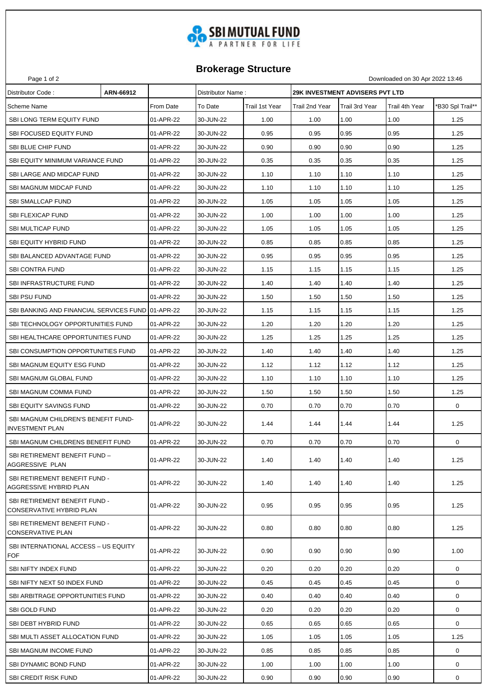

## **Brokerage Structure**

Page 1 of 2 Downloaded on 30 Apr 2022 13:46

| Scheme Name<br>From Date<br>To Date<br>Trail 4th Year<br>'B30 Spl Trail**<br>Trail 1st Year<br>Trail 2nd Year<br>Trail 3rd Year<br>1.00<br>1.00<br>SBI LONG TERM EQUITY FUND<br>01-APR-22<br>30-JUN-22<br>1.00<br>1.00<br>1.25<br>0.95<br><b>SBI FOCUSED EQUITY FUND</b><br>01-APR-22<br>0.95<br>0.95<br>0.95<br>1.25<br>30-JUN-22<br>SBI BLUE CHIP FUND<br>01-APR-22<br>0.90<br>0.90<br>0.90<br>1.25<br>30-JUN-22<br>0.90<br>01-APR-22<br>30-JUN-22<br>0.35<br>0.35<br>1.25<br>SBI EQUITY MINIMUM VARIANCE FUND<br>0.35<br>0.35<br>SBI LARGE AND MIDCAP FUND<br>01-APR-22<br>30-JUN-22<br>1.10<br>1.10<br>1.10<br>1.25<br>1.10<br>01-APR-22<br>1.10<br>1.10<br>1.25<br>SBI MAGNUM MIDCAP FUND<br>30-JUN-22<br>1.10<br>1.10<br>01-APR-22<br>1.05<br>1.05<br>1.05<br>1.25<br><b>SBI SMALLCAP FUND</b><br>30-JUN-22<br>1.05<br>1.00<br><b>SBI FLEXICAP FUND</b><br>01-APR-22<br>30-JUN-22<br>1.00<br>1.00<br>1.00<br>1.25<br>SBI MULTICAP FUND<br>01-APR-22<br>30-JUN-22<br>1.05<br>1.05<br>1.05<br>1.05<br>1.25<br>0.85<br><b>SBI EQUITY HYBRID FUND</b><br>01-APR-22<br>30-JUN-22<br>0.85<br>0.85<br>1.25<br>0.85<br>0.95<br>01-APR-22<br>0.95<br>0.95<br>1.25<br>SBI BALANCED ADVANTAGE FUND<br>30-JUN-22<br>0.95<br>1.15<br>1.25<br>01-APR-22<br>30-JUN-22<br>1.15<br>1.15<br><b>SBI CONTRA FUND</b><br>1.15<br>1.25<br>SBI INFRASTRUCTURE FUND<br>01-APR-22<br>1.40<br>1.40<br>1.40<br>30-JUN-22<br>1.40<br><b>SBI PSU FUND</b><br>01-APR-22<br>30-JUN-22<br>1.50<br>1.50<br>1.50<br>1.50<br>1.25<br>SBI BANKING AND FINANCIAL SERVICES FUND 01-APR-22<br>1.15<br>1.15<br>1.25<br>30-JUN-22<br>1.15<br>1.15<br>1.20<br>1.20<br>1.20<br>1.25<br>SBI TECHNOLOGY OPPORTUNITIES FUND<br>01-APR-22<br>30-JUN-22<br>1.20<br>1.25<br>SBI HEALTHCARE OPPORTUNITIES FUND<br>01-APR-22<br>30-JUN-22<br>1.25<br>1.25<br>1.25<br>1.25<br>SBI CONSUMPTION OPPORTUNITIES FUND<br>01-APR-22<br>1.40<br>1.40<br>1.40<br>1.25<br>30-JUN-22<br>1.40<br>30-JUN-22<br>1.12<br>1.12<br>1.12<br>1.25<br>SBI MAGNUM EQUITY ESG FUND<br>01-APR-22<br>1.12<br>SBI MAGNUM GLOBAL FUND<br>01-APR-22<br>30-JUN-22<br>1.10<br>1.10<br>1.10<br>1.25<br>1.10<br>1.50<br>SBI MAGNUM COMMA FUND<br>01-APR-22<br>30-JUN-22<br>1.50<br>1.50<br>1.50<br>1.25<br>0.70<br>$\mathbf 0$<br><b>SBI EQUITY SAVINGS FUND</b><br>01-APR-22<br>30-JUN-22<br>0.70<br>0.70<br>0.70<br>SBI MAGNUM CHILDREN'S BENEFIT FUND-<br>01-APR-22<br>30-JUN-22<br>1.44<br>1.44<br>1.25<br>1.44<br>1.44<br><b>INVESTMENT PLAN</b><br>0<br>01-APR-22<br>30-JUN-22<br>0.70<br>0.70<br>0.70<br>0.70<br>SBI MAGNUM CHILDRENS BENEFIT FUND<br>SBI RETIREMENT BENEFIT FUND -<br>01-APR-22<br>1.40<br>30-JUN-22<br>1.40<br>1.40<br>1.40<br>1.25<br>AGGRESSIVE PLAN<br>SBI RETIREMENT BENEFIT FUND -<br>1.40<br>01-APR-22<br>30-JUN-22<br>1.40<br>1.40<br>1.40<br>1.25<br>AGGRESSIVE HYBRID PLAN<br>SBI RETIREMENT BENEFIT FUND -<br>0.95<br>0.95<br>0.95<br>1.25<br>01-APR-22<br>30-JUN-22<br>0.95<br>CONSERVATIVE HYBRID PLAN<br>SBI RETIREMENT BENEFIT FUND -<br>01-APR-22<br>30-JUN-22<br>0.80<br>0.80<br>0.80<br>1.25<br>0.80<br><b>CONSERVATIVE PLAN</b><br>SBI INTERNATIONAL ACCESS - US EQUITY<br>0.90<br>1.00<br>01-APR-22<br>30-JUN-22<br>0.90<br>0.90<br>0.90<br><b>FOF</b><br>0.20<br>0.20<br>0.20<br>$\mathbf 0$<br>01-APR-22<br>30-JUN-22<br>0.20<br>SBI NIFTY INDEX FUND<br>SBI NIFTY NEXT 50 INDEX FUND<br>01-APR-22<br>30-JUN-22<br>0.45<br>0.45<br>0<br>0.45<br>0.45<br>30-JUN-22<br>0.40<br>0.40<br>0<br>SBI ARBITRAGE OPPORTUNITIES FUND<br>01-APR-22<br>0.40<br>0.40<br>$\mathbf 0$<br>30-JUN-22<br>0.20<br>0.20<br><b>SBI GOLD FUND</b><br>01-APR-22<br>0.20<br>0.20<br>01-APR-22<br>0.65<br>0.65<br>0<br>SBI DEBT HYBRID FUND<br>30-JUN-22<br>0.65<br>0.65<br>1.05<br>SBI MULTI ASSET ALLOCATION FUND<br>01-APR-22<br>30-JUN-22<br>1.05<br>1.05<br>1.25<br>1.05<br>SBI MAGNUM INCOME FUND<br>01-APR-22<br>30-JUN-22<br>0.85<br>0.85<br>0.85<br>0<br>0.85<br>SBI DYNAMIC BOND FUND<br>01-APR-22<br>30-JUN-22<br>1.00<br>1.00<br>1.00<br>0<br>1.00<br><b>SBI CREDIT RISK FUND</b><br>01-APR-22<br>30-JUN-22<br>0.90<br>0.90<br>0.90<br>0<br>0.90 | Distributor Code: | ARN-66912 | Distributor Name: |  | <b>29K INVESTMENT ADVISERS PVT LTD</b> |  |
|-------------------------------------------------------------------------------------------------------------------------------------------------------------------------------------------------------------------------------------------------------------------------------------------------------------------------------------------------------------------------------------------------------------------------------------------------------------------------------------------------------------------------------------------------------------------------------------------------------------------------------------------------------------------------------------------------------------------------------------------------------------------------------------------------------------------------------------------------------------------------------------------------------------------------------------------------------------------------------------------------------------------------------------------------------------------------------------------------------------------------------------------------------------------------------------------------------------------------------------------------------------------------------------------------------------------------------------------------------------------------------------------------------------------------------------------------------------------------------------------------------------------------------------------------------------------------------------------------------------------------------------------------------------------------------------------------------------------------------------------------------------------------------------------------------------------------------------------------------------------------------------------------------------------------------------------------------------------------------------------------------------------------------------------------------------------------------------------------------------------------------------------------------------------------------------------------------------------------------------------------------------------------------------------------------------------------------------------------------------------------------------------------------------------------------------------------------------------------------------------------------------------------------------------------------------------------------------------------------------------------------------------------------------------------------------------------------------------------------------------------------------------------------------------------------------------------------------------------------------------------------------------------------------------------------------------------------------------------------------------------------------------------------------------------------------------------------------------------------------------------------------------------------------------------------------------------------------------------------------------------------------------------------------------------------------------------------------------------------------------------------------------------------------------------------------------------------------------------------------------------------------------------------------------------------------------------------------------------------------------------------------------------------------------------------------------------------------------------------------------------------------------------------------------------------------------------------------------------------------------------------------------------------------------------------------------------------------------------------------------------------------------------------------------------------------------------------------------------------|-------------------|-----------|-------------------|--|----------------------------------------|--|
|                                                                                                                                                                                                                                                                                                                                                                                                                                                                                                                                                                                                                                                                                                                                                                                                                                                                                                                                                                                                                                                                                                                                                                                                                                                                                                                                                                                                                                                                                                                                                                                                                                                                                                                                                                                                                                                                                                                                                                                                                                                                                                                                                                                                                                                                                                                                                                                                                                                                                                                                                                                                                                                                                                                                                                                                                                                                                                                                                                                                                                                                                                                                                                                                                                                                                                                                                                                                                                                                                                                                                                                                                                                                                                                                                                                                                                                                                                                                                                                                                                                                                                       |                   |           |                   |  |                                        |  |
|                                                                                                                                                                                                                                                                                                                                                                                                                                                                                                                                                                                                                                                                                                                                                                                                                                                                                                                                                                                                                                                                                                                                                                                                                                                                                                                                                                                                                                                                                                                                                                                                                                                                                                                                                                                                                                                                                                                                                                                                                                                                                                                                                                                                                                                                                                                                                                                                                                                                                                                                                                                                                                                                                                                                                                                                                                                                                                                                                                                                                                                                                                                                                                                                                                                                                                                                                                                                                                                                                                                                                                                                                                                                                                                                                                                                                                                                                                                                                                                                                                                                                                       |                   |           |                   |  |                                        |  |
|                                                                                                                                                                                                                                                                                                                                                                                                                                                                                                                                                                                                                                                                                                                                                                                                                                                                                                                                                                                                                                                                                                                                                                                                                                                                                                                                                                                                                                                                                                                                                                                                                                                                                                                                                                                                                                                                                                                                                                                                                                                                                                                                                                                                                                                                                                                                                                                                                                                                                                                                                                                                                                                                                                                                                                                                                                                                                                                                                                                                                                                                                                                                                                                                                                                                                                                                                                                                                                                                                                                                                                                                                                                                                                                                                                                                                                                                                                                                                                                                                                                                                                       |                   |           |                   |  |                                        |  |
|                                                                                                                                                                                                                                                                                                                                                                                                                                                                                                                                                                                                                                                                                                                                                                                                                                                                                                                                                                                                                                                                                                                                                                                                                                                                                                                                                                                                                                                                                                                                                                                                                                                                                                                                                                                                                                                                                                                                                                                                                                                                                                                                                                                                                                                                                                                                                                                                                                                                                                                                                                                                                                                                                                                                                                                                                                                                                                                                                                                                                                                                                                                                                                                                                                                                                                                                                                                                                                                                                                                                                                                                                                                                                                                                                                                                                                                                                                                                                                                                                                                                                                       |                   |           |                   |  |                                        |  |
|                                                                                                                                                                                                                                                                                                                                                                                                                                                                                                                                                                                                                                                                                                                                                                                                                                                                                                                                                                                                                                                                                                                                                                                                                                                                                                                                                                                                                                                                                                                                                                                                                                                                                                                                                                                                                                                                                                                                                                                                                                                                                                                                                                                                                                                                                                                                                                                                                                                                                                                                                                                                                                                                                                                                                                                                                                                                                                                                                                                                                                                                                                                                                                                                                                                                                                                                                                                                                                                                                                                                                                                                                                                                                                                                                                                                                                                                                                                                                                                                                                                                                                       |                   |           |                   |  |                                        |  |
|                                                                                                                                                                                                                                                                                                                                                                                                                                                                                                                                                                                                                                                                                                                                                                                                                                                                                                                                                                                                                                                                                                                                                                                                                                                                                                                                                                                                                                                                                                                                                                                                                                                                                                                                                                                                                                                                                                                                                                                                                                                                                                                                                                                                                                                                                                                                                                                                                                                                                                                                                                                                                                                                                                                                                                                                                                                                                                                                                                                                                                                                                                                                                                                                                                                                                                                                                                                                                                                                                                                                                                                                                                                                                                                                                                                                                                                                                                                                                                                                                                                                                                       |                   |           |                   |  |                                        |  |
|                                                                                                                                                                                                                                                                                                                                                                                                                                                                                                                                                                                                                                                                                                                                                                                                                                                                                                                                                                                                                                                                                                                                                                                                                                                                                                                                                                                                                                                                                                                                                                                                                                                                                                                                                                                                                                                                                                                                                                                                                                                                                                                                                                                                                                                                                                                                                                                                                                                                                                                                                                                                                                                                                                                                                                                                                                                                                                                                                                                                                                                                                                                                                                                                                                                                                                                                                                                                                                                                                                                                                                                                                                                                                                                                                                                                                                                                                                                                                                                                                                                                                                       |                   |           |                   |  |                                        |  |
|                                                                                                                                                                                                                                                                                                                                                                                                                                                                                                                                                                                                                                                                                                                                                                                                                                                                                                                                                                                                                                                                                                                                                                                                                                                                                                                                                                                                                                                                                                                                                                                                                                                                                                                                                                                                                                                                                                                                                                                                                                                                                                                                                                                                                                                                                                                                                                                                                                                                                                                                                                                                                                                                                                                                                                                                                                                                                                                                                                                                                                                                                                                                                                                                                                                                                                                                                                                                                                                                                                                                                                                                                                                                                                                                                                                                                                                                                                                                                                                                                                                                                                       |                   |           |                   |  |                                        |  |
|                                                                                                                                                                                                                                                                                                                                                                                                                                                                                                                                                                                                                                                                                                                                                                                                                                                                                                                                                                                                                                                                                                                                                                                                                                                                                                                                                                                                                                                                                                                                                                                                                                                                                                                                                                                                                                                                                                                                                                                                                                                                                                                                                                                                                                                                                                                                                                                                                                                                                                                                                                                                                                                                                                                                                                                                                                                                                                                                                                                                                                                                                                                                                                                                                                                                                                                                                                                                                                                                                                                                                                                                                                                                                                                                                                                                                                                                                                                                                                                                                                                                                                       |                   |           |                   |  |                                        |  |
|                                                                                                                                                                                                                                                                                                                                                                                                                                                                                                                                                                                                                                                                                                                                                                                                                                                                                                                                                                                                                                                                                                                                                                                                                                                                                                                                                                                                                                                                                                                                                                                                                                                                                                                                                                                                                                                                                                                                                                                                                                                                                                                                                                                                                                                                                                                                                                                                                                                                                                                                                                                                                                                                                                                                                                                                                                                                                                                                                                                                                                                                                                                                                                                                                                                                                                                                                                                                                                                                                                                                                                                                                                                                                                                                                                                                                                                                                                                                                                                                                                                                                                       |                   |           |                   |  |                                        |  |
|                                                                                                                                                                                                                                                                                                                                                                                                                                                                                                                                                                                                                                                                                                                                                                                                                                                                                                                                                                                                                                                                                                                                                                                                                                                                                                                                                                                                                                                                                                                                                                                                                                                                                                                                                                                                                                                                                                                                                                                                                                                                                                                                                                                                                                                                                                                                                                                                                                                                                                                                                                                                                                                                                                                                                                                                                                                                                                                                                                                                                                                                                                                                                                                                                                                                                                                                                                                                                                                                                                                                                                                                                                                                                                                                                                                                                                                                                                                                                                                                                                                                                                       |                   |           |                   |  |                                        |  |
|                                                                                                                                                                                                                                                                                                                                                                                                                                                                                                                                                                                                                                                                                                                                                                                                                                                                                                                                                                                                                                                                                                                                                                                                                                                                                                                                                                                                                                                                                                                                                                                                                                                                                                                                                                                                                                                                                                                                                                                                                                                                                                                                                                                                                                                                                                                                                                                                                                                                                                                                                                                                                                                                                                                                                                                                                                                                                                                                                                                                                                                                                                                                                                                                                                                                                                                                                                                                                                                                                                                                                                                                                                                                                                                                                                                                                                                                                                                                                                                                                                                                                                       |                   |           |                   |  |                                        |  |
|                                                                                                                                                                                                                                                                                                                                                                                                                                                                                                                                                                                                                                                                                                                                                                                                                                                                                                                                                                                                                                                                                                                                                                                                                                                                                                                                                                                                                                                                                                                                                                                                                                                                                                                                                                                                                                                                                                                                                                                                                                                                                                                                                                                                                                                                                                                                                                                                                                                                                                                                                                                                                                                                                                                                                                                                                                                                                                                                                                                                                                                                                                                                                                                                                                                                                                                                                                                                                                                                                                                                                                                                                                                                                                                                                                                                                                                                                                                                                                                                                                                                                                       |                   |           |                   |  |                                        |  |
|                                                                                                                                                                                                                                                                                                                                                                                                                                                                                                                                                                                                                                                                                                                                                                                                                                                                                                                                                                                                                                                                                                                                                                                                                                                                                                                                                                                                                                                                                                                                                                                                                                                                                                                                                                                                                                                                                                                                                                                                                                                                                                                                                                                                                                                                                                                                                                                                                                                                                                                                                                                                                                                                                                                                                                                                                                                                                                                                                                                                                                                                                                                                                                                                                                                                                                                                                                                                                                                                                                                                                                                                                                                                                                                                                                                                                                                                                                                                                                                                                                                                                                       |                   |           |                   |  |                                        |  |
|                                                                                                                                                                                                                                                                                                                                                                                                                                                                                                                                                                                                                                                                                                                                                                                                                                                                                                                                                                                                                                                                                                                                                                                                                                                                                                                                                                                                                                                                                                                                                                                                                                                                                                                                                                                                                                                                                                                                                                                                                                                                                                                                                                                                                                                                                                                                                                                                                                                                                                                                                                                                                                                                                                                                                                                                                                                                                                                                                                                                                                                                                                                                                                                                                                                                                                                                                                                                                                                                                                                                                                                                                                                                                                                                                                                                                                                                                                                                                                                                                                                                                                       |                   |           |                   |  |                                        |  |
|                                                                                                                                                                                                                                                                                                                                                                                                                                                                                                                                                                                                                                                                                                                                                                                                                                                                                                                                                                                                                                                                                                                                                                                                                                                                                                                                                                                                                                                                                                                                                                                                                                                                                                                                                                                                                                                                                                                                                                                                                                                                                                                                                                                                                                                                                                                                                                                                                                                                                                                                                                                                                                                                                                                                                                                                                                                                                                                                                                                                                                                                                                                                                                                                                                                                                                                                                                                                                                                                                                                                                                                                                                                                                                                                                                                                                                                                                                                                                                                                                                                                                                       |                   |           |                   |  |                                        |  |
|                                                                                                                                                                                                                                                                                                                                                                                                                                                                                                                                                                                                                                                                                                                                                                                                                                                                                                                                                                                                                                                                                                                                                                                                                                                                                                                                                                                                                                                                                                                                                                                                                                                                                                                                                                                                                                                                                                                                                                                                                                                                                                                                                                                                                                                                                                                                                                                                                                                                                                                                                                                                                                                                                                                                                                                                                                                                                                                                                                                                                                                                                                                                                                                                                                                                                                                                                                                                                                                                                                                                                                                                                                                                                                                                                                                                                                                                                                                                                                                                                                                                                                       |                   |           |                   |  |                                        |  |
|                                                                                                                                                                                                                                                                                                                                                                                                                                                                                                                                                                                                                                                                                                                                                                                                                                                                                                                                                                                                                                                                                                                                                                                                                                                                                                                                                                                                                                                                                                                                                                                                                                                                                                                                                                                                                                                                                                                                                                                                                                                                                                                                                                                                                                                                                                                                                                                                                                                                                                                                                                                                                                                                                                                                                                                                                                                                                                                                                                                                                                                                                                                                                                                                                                                                                                                                                                                                                                                                                                                                                                                                                                                                                                                                                                                                                                                                                                                                                                                                                                                                                                       |                   |           |                   |  |                                        |  |
|                                                                                                                                                                                                                                                                                                                                                                                                                                                                                                                                                                                                                                                                                                                                                                                                                                                                                                                                                                                                                                                                                                                                                                                                                                                                                                                                                                                                                                                                                                                                                                                                                                                                                                                                                                                                                                                                                                                                                                                                                                                                                                                                                                                                                                                                                                                                                                                                                                                                                                                                                                                                                                                                                                                                                                                                                                                                                                                                                                                                                                                                                                                                                                                                                                                                                                                                                                                                                                                                                                                                                                                                                                                                                                                                                                                                                                                                                                                                                                                                                                                                                                       |                   |           |                   |  |                                        |  |
|                                                                                                                                                                                                                                                                                                                                                                                                                                                                                                                                                                                                                                                                                                                                                                                                                                                                                                                                                                                                                                                                                                                                                                                                                                                                                                                                                                                                                                                                                                                                                                                                                                                                                                                                                                                                                                                                                                                                                                                                                                                                                                                                                                                                                                                                                                                                                                                                                                                                                                                                                                                                                                                                                                                                                                                                                                                                                                                                                                                                                                                                                                                                                                                                                                                                                                                                                                                                                                                                                                                                                                                                                                                                                                                                                                                                                                                                                                                                                                                                                                                                                                       |                   |           |                   |  |                                        |  |
|                                                                                                                                                                                                                                                                                                                                                                                                                                                                                                                                                                                                                                                                                                                                                                                                                                                                                                                                                                                                                                                                                                                                                                                                                                                                                                                                                                                                                                                                                                                                                                                                                                                                                                                                                                                                                                                                                                                                                                                                                                                                                                                                                                                                                                                                                                                                                                                                                                                                                                                                                                                                                                                                                                                                                                                                                                                                                                                                                                                                                                                                                                                                                                                                                                                                                                                                                                                                                                                                                                                                                                                                                                                                                                                                                                                                                                                                                                                                                                                                                                                                                                       |                   |           |                   |  |                                        |  |
|                                                                                                                                                                                                                                                                                                                                                                                                                                                                                                                                                                                                                                                                                                                                                                                                                                                                                                                                                                                                                                                                                                                                                                                                                                                                                                                                                                                                                                                                                                                                                                                                                                                                                                                                                                                                                                                                                                                                                                                                                                                                                                                                                                                                                                                                                                                                                                                                                                                                                                                                                                                                                                                                                                                                                                                                                                                                                                                                                                                                                                                                                                                                                                                                                                                                                                                                                                                                                                                                                                                                                                                                                                                                                                                                                                                                                                                                                                                                                                                                                                                                                                       |                   |           |                   |  |                                        |  |
|                                                                                                                                                                                                                                                                                                                                                                                                                                                                                                                                                                                                                                                                                                                                                                                                                                                                                                                                                                                                                                                                                                                                                                                                                                                                                                                                                                                                                                                                                                                                                                                                                                                                                                                                                                                                                                                                                                                                                                                                                                                                                                                                                                                                                                                                                                                                                                                                                                                                                                                                                                                                                                                                                                                                                                                                                                                                                                                                                                                                                                                                                                                                                                                                                                                                                                                                                                                                                                                                                                                                                                                                                                                                                                                                                                                                                                                                                                                                                                                                                                                                                                       |                   |           |                   |  |                                        |  |
|                                                                                                                                                                                                                                                                                                                                                                                                                                                                                                                                                                                                                                                                                                                                                                                                                                                                                                                                                                                                                                                                                                                                                                                                                                                                                                                                                                                                                                                                                                                                                                                                                                                                                                                                                                                                                                                                                                                                                                                                                                                                                                                                                                                                                                                                                                                                                                                                                                                                                                                                                                                                                                                                                                                                                                                                                                                                                                                                                                                                                                                                                                                                                                                                                                                                                                                                                                                                                                                                                                                                                                                                                                                                                                                                                                                                                                                                                                                                                                                                                                                                                                       |                   |           |                   |  |                                        |  |
|                                                                                                                                                                                                                                                                                                                                                                                                                                                                                                                                                                                                                                                                                                                                                                                                                                                                                                                                                                                                                                                                                                                                                                                                                                                                                                                                                                                                                                                                                                                                                                                                                                                                                                                                                                                                                                                                                                                                                                                                                                                                                                                                                                                                                                                                                                                                                                                                                                                                                                                                                                                                                                                                                                                                                                                                                                                                                                                                                                                                                                                                                                                                                                                                                                                                                                                                                                                                                                                                                                                                                                                                                                                                                                                                                                                                                                                                                                                                                                                                                                                                                                       |                   |           |                   |  |                                        |  |
|                                                                                                                                                                                                                                                                                                                                                                                                                                                                                                                                                                                                                                                                                                                                                                                                                                                                                                                                                                                                                                                                                                                                                                                                                                                                                                                                                                                                                                                                                                                                                                                                                                                                                                                                                                                                                                                                                                                                                                                                                                                                                                                                                                                                                                                                                                                                                                                                                                                                                                                                                                                                                                                                                                                                                                                                                                                                                                                                                                                                                                                                                                                                                                                                                                                                                                                                                                                                                                                                                                                                                                                                                                                                                                                                                                                                                                                                                                                                                                                                                                                                                                       |                   |           |                   |  |                                        |  |
|                                                                                                                                                                                                                                                                                                                                                                                                                                                                                                                                                                                                                                                                                                                                                                                                                                                                                                                                                                                                                                                                                                                                                                                                                                                                                                                                                                                                                                                                                                                                                                                                                                                                                                                                                                                                                                                                                                                                                                                                                                                                                                                                                                                                                                                                                                                                                                                                                                                                                                                                                                                                                                                                                                                                                                                                                                                                                                                                                                                                                                                                                                                                                                                                                                                                                                                                                                                                                                                                                                                                                                                                                                                                                                                                                                                                                                                                                                                                                                                                                                                                                                       |                   |           |                   |  |                                        |  |
|                                                                                                                                                                                                                                                                                                                                                                                                                                                                                                                                                                                                                                                                                                                                                                                                                                                                                                                                                                                                                                                                                                                                                                                                                                                                                                                                                                                                                                                                                                                                                                                                                                                                                                                                                                                                                                                                                                                                                                                                                                                                                                                                                                                                                                                                                                                                                                                                                                                                                                                                                                                                                                                                                                                                                                                                                                                                                                                                                                                                                                                                                                                                                                                                                                                                                                                                                                                                                                                                                                                                                                                                                                                                                                                                                                                                                                                                                                                                                                                                                                                                                                       |                   |           |                   |  |                                        |  |
|                                                                                                                                                                                                                                                                                                                                                                                                                                                                                                                                                                                                                                                                                                                                                                                                                                                                                                                                                                                                                                                                                                                                                                                                                                                                                                                                                                                                                                                                                                                                                                                                                                                                                                                                                                                                                                                                                                                                                                                                                                                                                                                                                                                                                                                                                                                                                                                                                                                                                                                                                                                                                                                                                                                                                                                                                                                                                                                                                                                                                                                                                                                                                                                                                                                                                                                                                                                                                                                                                                                                                                                                                                                                                                                                                                                                                                                                                                                                                                                                                                                                                                       |                   |           |                   |  |                                        |  |
|                                                                                                                                                                                                                                                                                                                                                                                                                                                                                                                                                                                                                                                                                                                                                                                                                                                                                                                                                                                                                                                                                                                                                                                                                                                                                                                                                                                                                                                                                                                                                                                                                                                                                                                                                                                                                                                                                                                                                                                                                                                                                                                                                                                                                                                                                                                                                                                                                                                                                                                                                                                                                                                                                                                                                                                                                                                                                                                                                                                                                                                                                                                                                                                                                                                                                                                                                                                                                                                                                                                                                                                                                                                                                                                                                                                                                                                                                                                                                                                                                                                                                                       |                   |           |                   |  |                                        |  |
|                                                                                                                                                                                                                                                                                                                                                                                                                                                                                                                                                                                                                                                                                                                                                                                                                                                                                                                                                                                                                                                                                                                                                                                                                                                                                                                                                                                                                                                                                                                                                                                                                                                                                                                                                                                                                                                                                                                                                                                                                                                                                                                                                                                                                                                                                                                                                                                                                                                                                                                                                                                                                                                                                                                                                                                                                                                                                                                                                                                                                                                                                                                                                                                                                                                                                                                                                                                                                                                                                                                                                                                                                                                                                                                                                                                                                                                                                                                                                                                                                                                                                                       |                   |           |                   |  |                                        |  |
|                                                                                                                                                                                                                                                                                                                                                                                                                                                                                                                                                                                                                                                                                                                                                                                                                                                                                                                                                                                                                                                                                                                                                                                                                                                                                                                                                                                                                                                                                                                                                                                                                                                                                                                                                                                                                                                                                                                                                                                                                                                                                                                                                                                                                                                                                                                                                                                                                                                                                                                                                                                                                                                                                                                                                                                                                                                                                                                                                                                                                                                                                                                                                                                                                                                                                                                                                                                                                                                                                                                                                                                                                                                                                                                                                                                                                                                                                                                                                                                                                                                                                                       |                   |           |                   |  |                                        |  |
|                                                                                                                                                                                                                                                                                                                                                                                                                                                                                                                                                                                                                                                                                                                                                                                                                                                                                                                                                                                                                                                                                                                                                                                                                                                                                                                                                                                                                                                                                                                                                                                                                                                                                                                                                                                                                                                                                                                                                                                                                                                                                                                                                                                                                                                                                                                                                                                                                                                                                                                                                                                                                                                                                                                                                                                                                                                                                                                                                                                                                                                                                                                                                                                                                                                                                                                                                                                                                                                                                                                                                                                                                                                                                                                                                                                                                                                                                                                                                                                                                                                                                                       |                   |           |                   |  |                                        |  |
|                                                                                                                                                                                                                                                                                                                                                                                                                                                                                                                                                                                                                                                                                                                                                                                                                                                                                                                                                                                                                                                                                                                                                                                                                                                                                                                                                                                                                                                                                                                                                                                                                                                                                                                                                                                                                                                                                                                                                                                                                                                                                                                                                                                                                                                                                                                                                                                                                                                                                                                                                                                                                                                                                                                                                                                                                                                                                                                                                                                                                                                                                                                                                                                                                                                                                                                                                                                                                                                                                                                                                                                                                                                                                                                                                                                                                                                                                                                                                                                                                                                                                                       |                   |           |                   |  |                                        |  |
|                                                                                                                                                                                                                                                                                                                                                                                                                                                                                                                                                                                                                                                                                                                                                                                                                                                                                                                                                                                                                                                                                                                                                                                                                                                                                                                                                                                                                                                                                                                                                                                                                                                                                                                                                                                                                                                                                                                                                                                                                                                                                                                                                                                                                                                                                                                                                                                                                                                                                                                                                                                                                                                                                                                                                                                                                                                                                                                                                                                                                                                                                                                                                                                                                                                                                                                                                                                                                                                                                                                                                                                                                                                                                                                                                                                                                                                                                                                                                                                                                                                                                                       |                   |           |                   |  |                                        |  |
|                                                                                                                                                                                                                                                                                                                                                                                                                                                                                                                                                                                                                                                                                                                                                                                                                                                                                                                                                                                                                                                                                                                                                                                                                                                                                                                                                                                                                                                                                                                                                                                                                                                                                                                                                                                                                                                                                                                                                                                                                                                                                                                                                                                                                                                                                                                                                                                                                                                                                                                                                                                                                                                                                                                                                                                                                                                                                                                                                                                                                                                                                                                                                                                                                                                                                                                                                                                                                                                                                                                                                                                                                                                                                                                                                                                                                                                                                                                                                                                                                                                                                                       |                   |           |                   |  |                                        |  |
|                                                                                                                                                                                                                                                                                                                                                                                                                                                                                                                                                                                                                                                                                                                                                                                                                                                                                                                                                                                                                                                                                                                                                                                                                                                                                                                                                                                                                                                                                                                                                                                                                                                                                                                                                                                                                                                                                                                                                                                                                                                                                                                                                                                                                                                                                                                                                                                                                                                                                                                                                                                                                                                                                                                                                                                                                                                                                                                                                                                                                                                                                                                                                                                                                                                                                                                                                                                                                                                                                                                                                                                                                                                                                                                                                                                                                                                                                                                                                                                                                                                                                                       |                   |           |                   |  |                                        |  |
|                                                                                                                                                                                                                                                                                                                                                                                                                                                                                                                                                                                                                                                                                                                                                                                                                                                                                                                                                                                                                                                                                                                                                                                                                                                                                                                                                                                                                                                                                                                                                                                                                                                                                                                                                                                                                                                                                                                                                                                                                                                                                                                                                                                                                                                                                                                                                                                                                                                                                                                                                                                                                                                                                                                                                                                                                                                                                                                                                                                                                                                                                                                                                                                                                                                                                                                                                                                                                                                                                                                                                                                                                                                                                                                                                                                                                                                                                                                                                                                                                                                                                                       |                   |           |                   |  |                                        |  |
|                                                                                                                                                                                                                                                                                                                                                                                                                                                                                                                                                                                                                                                                                                                                                                                                                                                                                                                                                                                                                                                                                                                                                                                                                                                                                                                                                                                                                                                                                                                                                                                                                                                                                                                                                                                                                                                                                                                                                                                                                                                                                                                                                                                                                                                                                                                                                                                                                                                                                                                                                                                                                                                                                                                                                                                                                                                                                                                                                                                                                                                                                                                                                                                                                                                                                                                                                                                                                                                                                                                                                                                                                                                                                                                                                                                                                                                                                                                                                                                                                                                                                                       |                   |           |                   |  |                                        |  |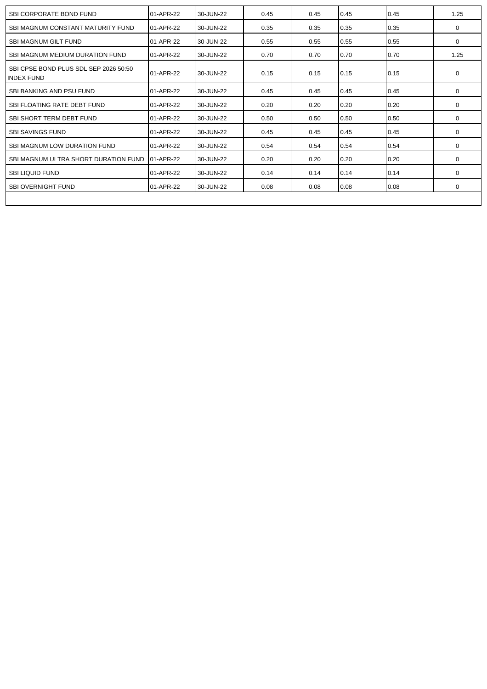| SBI CORPORATE BOND FUND                                    | 01-APR-22 | 30-JUN-22 | 0.45 | 0.45 | 0.45 | 0.45 | 1.25     |
|------------------------------------------------------------|-----------|-----------|------|------|------|------|----------|
| SBI MAGNUM CONSTANT MATURITY FUND                          | 01-APR-22 | 30-JUN-22 | 0.35 | 0.35 | 0.35 | 0.35 | $\Omega$ |
| <b>SBI MAGNUM GILT FUND</b>                                | 01-APR-22 | 30-JUN-22 | 0.55 | 0.55 | 0.55 | 0.55 | $\Omega$ |
| SBI MAGNUM MEDIUM DURATION FUND                            | 01-APR-22 | 30-JUN-22 | 0.70 | 0.70 | 0.70 | 0.70 | 1.25     |
| SBI CPSE BOND PLUS SDL SEP 2026 50:50<br><b>INDEX FUND</b> | 01-APR-22 | 30-JUN-22 | 0.15 | 0.15 | 0.15 | 0.15 | $\Omega$ |
| <b>SBI BANKING AND PSU FUND</b>                            | 01-APR-22 | 30-JUN-22 | 0.45 | 0.45 | 0.45 | 0.45 | $\Omega$ |
| SBI FLOATING RATE DEBT FUND                                | 01-APR-22 | 30-JUN-22 | 0.20 | 0.20 | 0.20 | 0.20 | $\Omega$ |
| SBI SHORT TERM DEBT FUND                                   | 01-APR-22 | 30-JUN-22 | 0.50 | 0.50 | 0.50 | 0.50 | 0        |
| <b>SBI SAVINGS FUND</b>                                    | 01-APR-22 | 30-JUN-22 | 0.45 | 0.45 | 0.45 | 0.45 | $\Omega$ |
| SBI MAGNUM LOW DURATION FUND                               | 01-APR-22 | 30-JUN-22 | 0.54 | 0.54 | 0.54 | 0.54 | 0        |
| SBI MAGNUM ULTRA SHORT DURATION FUND                       | 01-APR-22 | 30-JUN-22 | 0.20 | 0.20 | 0.20 | 0.20 | $\Omega$ |
| <b>SBI LIQUID FUND</b>                                     | 01-APR-22 | 30-JUN-22 | 0.14 | 0.14 | 0.14 | 0.14 | 0        |
| <b>SBI OVERNIGHT FUND</b>                                  | 01-APR-22 | 30-JUN-22 | 0.08 | 0.08 | 0.08 | 0.08 | $\Omega$ |
|                                                            |           |           |      |      |      |      |          |